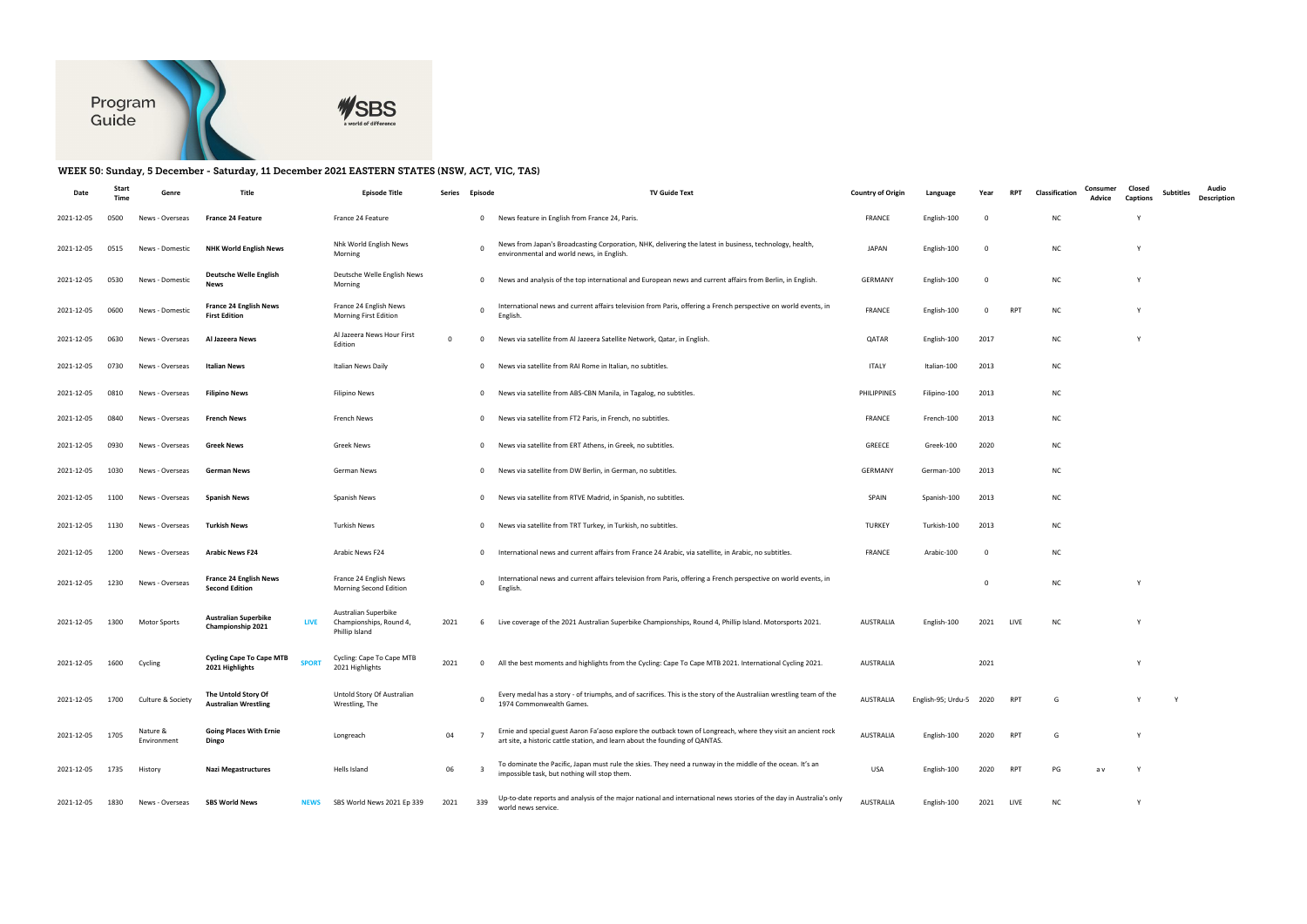

## WEEK 50: Sunday, 5 December - Saturday, 11 December 2021 EASTERN STATES (NSW, ACT, VIC, TAS)

| Date       | Start<br>Time | Genre                   | Title                                                              | <b>Episode Title</b>                                              | Series       | Episode        | <b>TV Guide Text</b>                                                                                                                                                                          | <b>Country of Origin</b> | Language                | Year     | <b>RPT</b> | Classification | Consumer<br>Advice | Closed<br><b>Captions</b> | Audio<br>Subtitles<br><b>Description</b> |
|------------|---------------|-------------------------|--------------------------------------------------------------------|-------------------------------------------------------------------|--------------|----------------|-----------------------------------------------------------------------------------------------------------------------------------------------------------------------------------------------|--------------------------|-------------------------|----------|------------|----------------|--------------------|---------------------------|------------------------------------------|
| 2021-12-05 | 0500          | News - Overseas         | France 24 Feature                                                  | France 24 Feature                                                 |              | $\mathbf{0}$   | News feature in English from France 24, Paris.                                                                                                                                                | <b>FRANCE</b>            | English-100             | - 0      |            | <b>NC</b>      |                    | Y                         |                                          |
| 2021-12-05 | 0515          | News - Domestic         | <b>NHK World English News</b>                                      | Nhk World English News<br>Morning                                 |              | $\overline{0}$ | News from Japan's Broadcasting Corporation, NHK, delivering the latest in business, technology, health,<br>environmental and world news, in English.                                          | JAPAN                    | English-100             | - 0      |            | <b>NC</b>      |                    | Y                         |                                          |
| 2021-12-05 | 0530          | News - Domestic         | Deutsche Welle English<br><b>News</b>                              | Deutsche Welle English News<br>Morning                            |              | $\mathbf{0}$   | News and analysis of the top international and European news and current affairs from Berlin, in English.                                                                                     | <b>GERMANY</b>           | English-100             | $\Omega$ |            | <b>NC</b>      |                    | Y                         |                                          |
| 2021-12-05 | 0600          | News - Domestic         | <b>France 24 English News</b><br><b>First Edition</b>              | France 24 English News<br>Morning First Edition                   |              | $\mathbf 0$    | International news and current affairs television from Paris, offering a French perspective on world events, in<br>English.                                                                   | <b>FRANCE</b>            | English-100             | 0        | <b>RPT</b> | <b>NC</b>      |                    | Y                         |                                          |
| 2021-12-05 | 0630          | News - Overseas         | Al Jazeera News                                                    | Al Jazeera News Hour First<br>Edition                             | $\mathbf{0}$ | $\mathbf 0$    | News via satellite from Al Jazeera Satellite Network, Qatar, in English                                                                                                                       | QATAR                    | English-100             | 2017     |            | NC             |                    | Y                         |                                          |
| 2021-12-05 | 0730          | News - Overseas         | Italian News                                                       | Italian News Daily                                                |              | $\mathbf{0}$   | News via satellite from RAI Rome in Italian, no subtitles.                                                                                                                                    | <b>ITALY</b>             | Italian-100             | 2013     |            | NC             |                    |                           |                                          |
| 2021-12-05 | 0810          | News - Overseas         | <b>Filipino News</b>                                               | <b>Filipino News</b>                                              |              | $\overline{0}$ | News via satellite from ABS-CBN Manila, in Tagalog, no subtitles.                                                                                                                             | PHILIPPINES              | Filipino-100            | 2013     |            | NC             |                    |                           |                                          |
| 2021-12-05 | 0840          | News - Overseas         | <b>French News</b>                                                 | French News                                                       |              | $\mathbf 0$    | News via satellite from FT2 Paris, in French, no subtitles.                                                                                                                                   | <b>FRANCE</b>            | French-100              | 2013     |            | <b>NC</b>      |                    |                           |                                          |
| 2021-12-05 | 0930          | News - Overseas         | <b>Greek News</b>                                                  | <b>Greek News</b>                                                 |              | $\mathbf 0$    | News via satellite from ERT Athens, in Greek, no subtitles.                                                                                                                                   | GREECE                   | Greek-100               | 2020     |            | NC             |                    |                           |                                          |
| 2021-12-05 | 1030          | News - Overseas         | German News                                                        | German News                                                       |              | $\mathbf 0$    | News via satellite from DW Berlin, in German, no subtitles.                                                                                                                                   | <b>GERMANY</b>           | German-100              | 2013     |            | <b>NC</b>      |                    |                           |                                          |
| 2021-12-05 | 1100          | News - Overseas         | <b>Spanish News</b>                                                | Spanish News                                                      |              | $\mathbf 0$    | News via satellite from RTVE Madrid, in Spanish, no subtitles.                                                                                                                                | SPAIN                    | Spanish-100             | 2013     |            | NC             |                    |                           |                                          |
| 2021-12-05 | 1130          | News - Overseas         | <b>Turkish News</b>                                                | <b>Turkish News</b>                                               |              | $\mathbf{0}$   | News via satellite from TRT Turkey, in Turkish, no subtitles.                                                                                                                                 | <b>TURKEY</b>            | Turkish-100             | 2013     |            | NC             |                    |                           |                                          |
| 2021-12-05 | 1200          | News - Overseas         | <b>Arabic News F24</b>                                             | Arabic News F24                                                   |              | $\mathbf 0$    | International news and current affairs from France 24 Arabic, via satellite, in Arabic, no subtitles.                                                                                         | <b>FRANCE</b>            | Arabic-100              | $\Omega$ |            | <b>NC</b>      |                    |                           |                                          |
| 2021-12-05 | 1230          | News - Overseas         | <b>France 24 English News</b><br><b>Second Edition</b>             | France 24 English News<br>Morning Second Edition                  |              | $\mathbf 0$    | nternational news and current affairs television from Paris, offering a French perspective on world events, in<br>English.                                                                    |                          |                         |          |            | NC             |                    | Y                         |                                          |
| 2021-12-05 | 1300          | Motor Sports            | <b>Australian Superbike</b><br>LIVE<br>Championship 2021           | Australian Superbike<br>Championships, Round 4,<br>Phillip Island | 2021         | 6              | Live coverage of the 2021 Australian Superbike Championships, Round 4, Phillip Island. Motorsports 2021.                                                                                      | AUSTRALIA                | English-100             | 2021     | LIVE       | <b>NC</b>      |                    | Y                         |                                          |
| 2021-12-05 | 1600          | Cycling                 | <b>Cycling Cape To Cape MTB</b><br><b>SPORT</b><br>2021 Highlights | Cycling: Cape To Cape MTE<br>2021 Highlights                      | 2021         | $\overline{0}$ | All the best moments and highlights from the Cycling: Cape To Cape MTB 2021. International Cycling 2021.                                                                                      | AUSTRALIA                |                         | 2021     |            |                |                    | Y                         |                                          |
| 2021-12-05 | 1700          | Culture & Society       | The Untold Story Of<br><b>Australian Wrestling</b>                 | Untold Story Of Australian<br>Wrestling, The                      |              | $\Omega$       | Every medal has a story - of triumphs, and of sacrifices. This is the story of the Australiian wrestling team of the<br>1974 Commonwealth Games.                                              | AUSTRALIA                | English-95; Urdu-5 2020 |          | RPT        | G              |                    | Y                         | Y                                        |
| 2021-12-05 | 1705          | Nature &<br>Environment | <b>Going Places With Ernie</b><br>Dingo                            | Longreach                                                         | 04           |                | Ernie and special guest Aaron Fa'aoso explore the outback town of Longreach, where they visit an ancient rock<br>art site, a historic cattle station, and learn about the founding of QANTAS. | AUSTRALIA                | English-100             | 2020     | RPT        | G              |                    | Y                         |                                          |
| 2021-12-05 | 1735          | History                 | <b>Nazi Megastructures</b>                                         | Hells Island                                                      | 06           | $\overline{3}$ | To dominate the Pacific, Japan must rule the skies. They need a runway in the middle of the ocean. It's an<br>impossible task, but nothing will stop them.                                    | USA                      | English-100             | 2020     | RPT        | PG             | a v                | Y                         |                                          |
| 2021-12-05 | 1830          | News - Overseas         | <b>SBS World News</b><br>NEWS                                      | SBS World News 2021 Ep 339                                        | 2021         | 339            | Up-to-date reports and analysis of the major national and international news stories of the day in Australia's only<br>world news service.                                                    | <b>AUSTRALIA</b>         | English-100             | 2021     | LIVE       | NC             |                    | Y                         |                                          |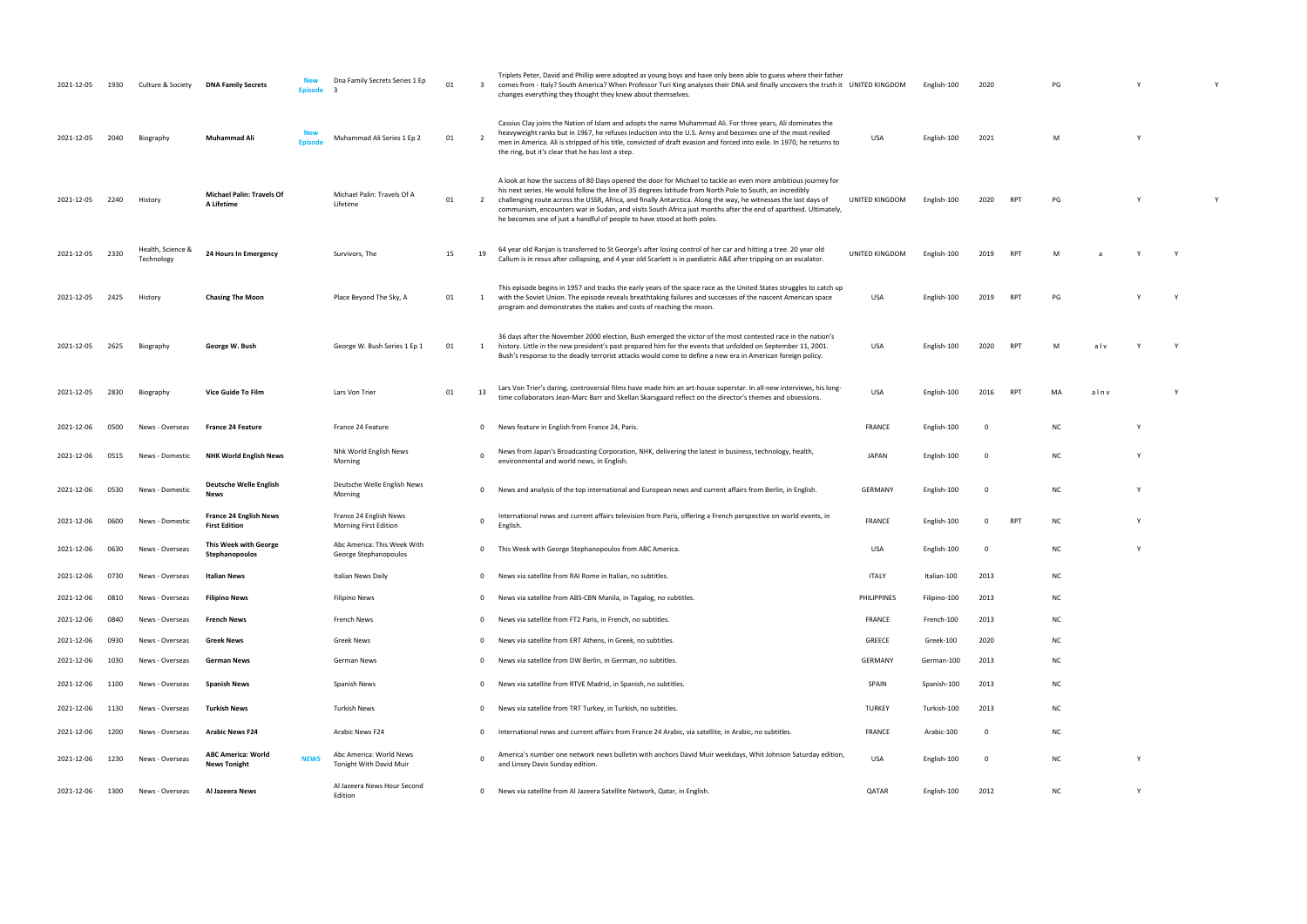| 2021-12-05 | 1930 | Culture & Society               | <b>DNA Family Secrets</b>                             | Dna Family Secrets Series 1 Ep<br><b>Episode</b>                  | 01 | $\overline{\mathbf{3}}$ | Triplets Peter, David and Phillip were adopted as young boys and have only been able to guess where their father<br>comes from - Italy? South America? When Professor Turi King analyses their DNA and finally uncovers the truth it UNITED KINGDOM<br>changes everything they thought they knew about themselves.                                                                                                                                                                                                                         |                | English-100  | 2020     |                 | PG        |      | Y        |  |
|------------|------|---------------------------------|-------------------------------------------------------|-------------------------------------------------------------------|----|-------------------------|--------------------------------------------------------------------------------------------------------------------------------------------------------------------------------------------------------------------------------------------------------------------------------------------------------------------------------------------------------------------------------------------------------------------------------------------------------------------------------------------------------------------------------------------|----------------|--------------|----------|-----------------|-----------|------|----------|--|
| 2021-12-05 | 2040 | Biography                       | <b>Muhammad Ali</b>                                   | Muhammad Ali Series 1 Ep 2<br><b>Episode</b>                      | 01 | $\overline{2}$          | Cassius Clay joins the Nation of Islam and adopts the name Muhammad Ali. For three years, Ali dominates the<br>heavyweight ranks but in 1967, he refuses induction into the U.S. Army and becomes one of the most reviled<br>men in America. Ali is stripped of his title, convicted of draft evasion and forced into exile. In 1970, he returns to<br>the ring, but it's clear that he has lost a step.                                                                                                                                   | <b>USA</b>     | English-100  | 2021     |                 | M         |      | Y        |  |
| 2021-12-05 | 2240 | History                         | <b>Michael Palin: Travels Of</b><br>A Lifetime        | Michael Palin: Travels Of A<br>Lifetime                           | 01 | 2                       | A look at how the success of 80 Days opened the door for Michael to tackle an even more ambitious journey for<br>his next series. He would follow the line of 35 degrees latitude from North Pole to South, an incredibly<br>challenging route across the USSR, Africa, and finally Antarctica. Along the way, he witnesses the last days of<br>communism, encounters war in Sudan, and visits South Africa just months after the end of apartheid. Ultimately,<br>he becomes one of just a handful of people to have stood at both poles. | UNITED KINGDOM | English-100  | 2020     | RP <sub>1</sub> | PG        |      |          |  |
| 2021-12-05 | 2330 | Health, Science &<br>Technology | 24 Hours In Emergency                                 | Survivors, The                                                    | 15 | 19                      | 64 year old Ranjan is transferred to St George's after losing control of her car and hitting a tree. 20 year old<br>Callum is in resus after collapsing, and 4 year old Scarlett is in paediatric A&E after tripping on an escalator.                                                                                                                                                                                                                                                                                                      | UNITED KINGDOM | English-100  | 2019     | <b>RPT</b>      | M         |      |          |  |
| 2021-12-05 | 2425 | History                         | <b>Chasing The Moon</b>                               | Place Beyond The Sky, A                                           | 01 | $\mathbf{1}$            | This episode begins in 1957 and tracks the early years of the space race as the United States struggles to catch up<br>with the Soviet Union. The episode reveals breathtaking failures and successes of the nascent American space<br>program and demonstrates the stakes and costs of reaching the moon.                                                                                                                                                                                                                                 | <b>USA</b>     | English-100  | 2019     | <b>RPT</b>      | PG        |      |          |  |
| 2021-12-05 | 2625 | Biography                       | George W. Bush                                        | George W. Bush Series 1 Ep 1                                      | 01 |                         | 36 days after the November 2000 election, Bush emerged the victor of the most contested race in the nation's<br>history. Little in the new president's past prepared him for the events that unfolded on September 11, 2001.<br>Bush's response to the deadly terrorist attacks would come to define a new era in American foreign policy.                                                                                                                                                                                                 | <b>USA</b>     | English-100  | 2020     | RP <sub>1</sub> | M         | alv  |          |  |
| 2021-12-05 | 2830 | Biography                       | Vice Guide To Film                                    | Lars Von Trier                                                    | 01 | 13                      | Lars Von Trier's daring, controversial films have made him an art-house superstar. In all-new interviews, his long-<br>time collaborators Jean-Marc Barr and Skellan Skarsgaard reflect on the director's themes and obsessions.                                                                                                                                                                                                                                                                                                           | <b>USA</b>     | English-100  | 2016     | RP <sup>-</sup> | MA        | alnv |          |  |
| 2021-12-06 | 0500 | News - Overseas                 | <b>France 24 Feature</b>                              | France 24 Feature                                                 |    | 0                       | News feature in English from France 24, Paris.                                                                                                                                                                                                                                                                                                                                                                                                                                                                                             | <b>FRANCE</b>  | English-100  | - 0      |                 | <b>NC</b> |      | <u>V</u> |  |
| 2021-12-06 | 0515 | News - Domestic                 | <b>NHK World English News</b>                         | Nhk World English News<br>Morning                                 |    | $\mathbf 0$             | News from Japan's Broadcasting Corporation, NHK, delivering the latest in business, technology, health,<br>environmental and world news, in English.                                                                                                                                                                                                                                                                                                                                                                                       | <b>JAPAN</b>   | English-100  | 0        |                 | <b>NC</b> |      | -Y       |  |
| 2021-12-06 | 0530 | News - Domestic                 | Deutsche Welle English<br>News                        | Deutsche Welle English News<br>Morning                            |    | $\overline{0}$          | News and analysis of the top international and European news and current affairs from Berlin, in English.                                                                                                                                                                                                                                                                                                                                                                                                                                  | GERMANY        | English-100  | 0        |                 | <b>NC</b> |      |          |  |
| 2021-12-06 | 0600 | News - Domestic                 | <b>France 24 English News</b><br><b>First Edition</b> | France 24 English News<br>Morning First Edition                   |    | $\mathbf 0$             | International news and current affairs television from Paris, offering a French perspective on world events, in<br>English.                                                                                                                                                                                                                                                                                                                                                                                                                | <b>FRANCE</b>  | English-100  | $\Omega$ |                 | <b>NC</b> |      |          |  |
| 2021-12-06 | 0630 | News - Overseas                 | This Week with George<br>Stephanopoulos               | Abc America: This Week With<br>George Stephanopoulos              |    | $\overline{0}$          | This Week with George Stephanopoulos from ABC America.                                                                                                                                                                                                                                                                                                                                                                                                                                                                                     | USA            | English-100  |          |                 | NC        |      |          |  |
| 2021-12-06 | 0730 | News - Overseas                 | Italian News                                          | Italian News Daily                                                |    | $\mathbf 0$             | News via satellite from RAI Rome in Italian, no subtitles.                                                                                                                                                                                                                                                                                                                                                                                                                                                                                 | ITALY          | Italian-100  | 2013     |                 | <b>NC</b> |      |          |  |
| 2021-12-06 | 0810 | News - Overseas                 | <b>Filipino News</b>                                  | Filipino News                                                     |    | 0                       | News via satellite from ABS-CBN Manila, in Tagalog, no subtitles.                                                                                                                                                                                                                                                                                                                                                                                                                                                                          | PHILIPPINES    | Filipino-100 | 2013     |                 | NC        |      |          |  |
| 2021-12-06 | 0840 | News - Overseas                 | <b>French News</b>                                    | French News                                                       |    | $^{\circ}$              | News via satellite from FT2 Paris, in French, no subtitles.                                                                                                                                                                                                                                                                                                                                                                                                                                                                                | <b>FRANCE</b>  | French-100   | 2013     |                 | NC        |      |          |  |
| 2021-12-06 | 0930 | News - Overseas                 | <b>Greek News</b>                                     | Greek News                                                        |    | $^{\circ}$              | News via satellite from ERT Athens, in Greek, no subtitles.                                                                                                                                                                                                                                                                                                                                                                                                                                                                                | GREECE         | Greek-100    | 2020     |                 | <b>NC</b> |      |          |  |
| 2021-12-06 | 1030 | News - Overseas                 | German News                                           | German News                                                       |    | $\mathbf 0$             | News via satellite from DW Berlin, in German, no subtitles.                                                                                                                                                                                                                                                                                                                                                                                                                                                                                | GERMANY        | German-100   | 2013     |                 | <b>NC</b> |      |          |  |
| 2021-12-06 | 1100 | News - Overseas                 | <b>Spanish News</b>                                   | Spanish News                                                      |    | $^{\circ}$              | News via satellite from RTVE Madrid, in Spanish, no subtitles.                                                                                                                                                                                                                                                                                                                                                                                                                                                                             | SPAIN          | Spanish-100  | 2013     |                 | <b>NC</b> |      |          |  |
| 2021-12-06 | 1130 | News - Overseas                 | <b>Turkish News</b>                                   | Turkish News                                                      |    | $\mathbf 0$             | News via satellite from TRT Turkey, in Turkish, no subtitles.                                                                                                                                                                                                                                                                                                                                                                                                                                                                              | <b>TURKEY</b>  | Turkish-100  | 2013     |                 | <b>NC</b> |      |          |  |
| 2021-12-06 | 1200 | News - Overseas                 | <b>Arabic News F24</b>                                | Arabic News F24                                                   |    | $^{\circ}$              | International news and current affairs from France 24 Arabic, via satellite, in Arabic, no subtitles.                                                                                                                                                                                                                                                                                                                                                                                                                                      | FRANCE         | Arabic-100   | 0        |                 | <b>NC</b> |      |          |  |
| 2021-12-06 | 1230 | News - Overseas                 | <b>ABC America: World</b><br><b>News Tonight</b>      | Abc America: World News<br><b>NEWS</b><br>Tonight With David Muir |    | $\Omega$                | America's number one network news bulletin with anchors David Muir weekdays, Whit Johnson Saturday edition,<br>and Linsey Davis Sunday edition.                                                                                                                                                                                                                                                                                                                                                                                            | <b>USA</b>     | English-100  | 0        |                 | <b>NC</b> |      |          |  |
| 2021-12-06 | 1300 | News - Overseas                 | Al Jazeera News                                       | Al Jazeera News Hour Second<br>Edition                            |    | $\mathbf 0$             | News via satellite from Al Jazeera Satellite Network, Qatar, in English                                                                                                                                                                                                                                                                                                                                                                                                                                                                    | QATAR          | English-100  | 2012     |                 | <b>NC</b> |      | Y        |  |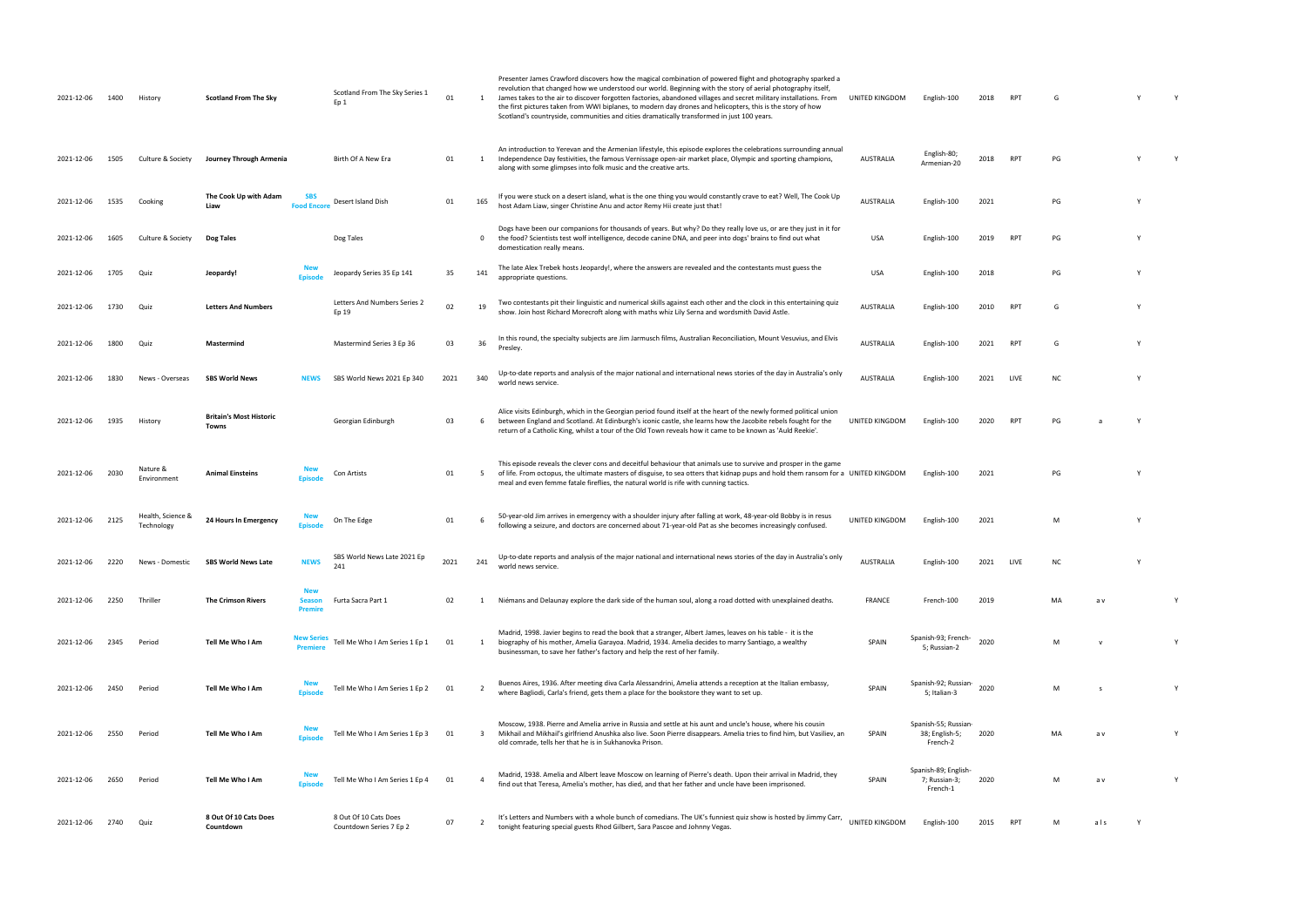| 2021-12-06 | 1400 | History                         | <b>Scotland From The Sky</b>            |                                               | Scotland From The Sky Series 1<br>Ep <sub>1</sub> | 01   |                         | Presenter James Crawford discovers how the magical combination of powered flight and photography sparked a<br>revolution that changed how we understood our world. Beginning with the story of aerial photography itself,<br>James takes to the air to discover forgotten factories, abandoned villages and secret military installations. From<br>the first pictures taken from WWI biplanes, to modern day drones and helicopters, this is the story of how<br>Scotland's countryside, communities and cities dramatically transformed in just 100 years. | UNITED KINGDOM   | English-100                                        | 2018 | <b>RPT</b> | G         |              |   |
|------------|------|---------------------------------|-----------------------------------------|-----------------------------------------------|---------------------------------------------------|------|-------------------------|-------------------------------------------------------------------------------------------------------------------------------------------------------------------------------------------------------------------------------------------------------------------------------------------------------------------------------------------------------------------------------------------------------------------------------------------------------------------------------------------------------------------------------------------------------------|------------------|----------------------------------------------------|------|------------|-----------|--------------|---|
| 2021-12-06 | 1505 | Culture & Society               | Journey Through Armenia                 |                                               | Birth Of A New Era                                | 01   | 1                       | An introduction to Yerevan and the Armenian lifestyle, this episode explores the celebrations surrounding annual<br>Independence Day festivities, the famous Vernissage open-air market place, Olympic and sporting champions,<br>along with some glimpses into folk music and the creative arts.                                                                                                                                                                                                                                                           | <b>AUSTRALIA</b> | English-80;<br>Armenian-20                         | 2018 | <b>RPT</b> | PG        |              |   |
| 2021-12-06 | 1535 | Cooking                         | The Cook Up with Adam<br>Liaw           | <b>SBS</b><br><b>Food Encore</b>              | Desert Island Dish                                | 01   | 165                     | If you were stuck on a desert island, what is the one thing you would constantly crave to eat? Well, The Cook Up<br>host Adam Liaw, singer Christine Anu and actor Remy Hii create just that!                                                                                                                                                                                                                                                                                                                                                               | <b>AUSTRALIA</b> | English-100                                        | 2021 |            | PG        |              |   |
| 2021-12-06 | 1605 | Culture & Society               | Dog Tales                               |                                               | Dog Tales                                         |      | $\mathbf 0$             | Dogs have been our companions for thousands of years. But why? Do they really love us, or are they just in it for<br>the food? Scientists test wolf intelligence, decode canine DNA, and peer into dogs' brains to find out what<br>domestication really means.                                                                                                                                                                                                                                                                                             | USA              | English-100                                        | 2019 | RPT        | PG        |              |   |
| 2021-12-06 | 1705 | Quiz                            | Jeopardy!                               | <b>Fnisode</b>                                | Jeopardy Series 35 Ep 141                         | 35   | 141                     | The late Alex Trebek hosts Jeopardy!, where the answers are revealed and the contestants must guess the<br>appropriate questions.                                                                                                                                                                                                                                                                                                                                                                                                                           | <b>USA</b>       | English-100                                        | 2018 |            | PG        |              |   |
| 2021-12-06 | 1730 | Quiz                            | <b>Letters And Numbers</b>              |                                               | Letters And Numbers Series 2<br>Ep 19             | 02   | 19                      | Two contestants pit their linguistic and numerical skills against each other and the clock in this entertaining quiz<br>show. Join host Richard Morecroft along with maths whiz Lily Serna and wordsmith David Astle.                                                                                                                                                                                                                                                                                                                                       | <b>AUSTRALIA</b> | English-100                                        | 2010 | RPT        | G         |              |   |
| 2021-12-06 | 1800 | Quiz                            | Mastermind                              |                                               | Mastermind Series 3 Ep 36                         | 03   | 36                      | In this round, the specialty subjects are Jim Jarmusch films, Australian Reconciliation, Mount Vesuvius, and Elvis<br>Presley.                                                                                                                                                                                                                                                                                                                                                                                                                              | <b>AUSTRALIA</b> | English-100                                        | 2021 | <b>RPT</b> | G         |              |   |
| 2021-12-06 | 1830 | News - Overseas                 | <b>SBS World News</b>                   | <b>NEWS</b>                                   | SBS World News 2021 Ep 340                        | 2021 | 340                     | Up-to-date reports and analysis of the major national and international news stories of the day in Australia's only<br>world news service.                                                                                                                                                                                                                                                                                                                                                                                                                  | <b>AUSTRALIA</b> | English-100                                        | 2021 | LIVE       | <b>NC</b> |              |   |
| 2021-12-06 | 1935 | History                         | <b>Britain's Most Historic</b><br>Towns |                                               | Georgian Edinburgh                                | 03   | -6                      | Alice visits Edinburgh, which in the Georgian period found itself at the heart of the newly formed political union<br>between England and Scotland. At Edinburgh's iconic castle, she learns how the Jacobite rebels fought for the<br>return of a Catholic King, whilst a tour of the Old Town reveals how it came to be known as 'Auld Reekie'.                                                                                                                                                                                                           | UNITED KINGDOM   | English-100                                        | 2020 | <b>RPT</b> | PG        |              |   |
| 2021-12-06 | 2030 | Nature &<br>Environment         | <b>Animal Einsteins</b>                 | <b>Episode</b>                                | Con Artists                                       | 01   | 5                       | This episode reveals the clever cons and deceitful behaviour that animals use to survive and prosper in the game<br>of life. From octopus, the ultimate masters of disguise, to sea otters that kidnap pups and hold them ransom for a UNITED KINGDOM<br>meal and even femme fatale fireflies, the natural world is rife with cunning tactics.                                                                                                                                                                                                              |                  | English-100                                        | 2021 |            | PG        |              |   |
| 2021-12-06 | 2125 | Health, Science &<br>Technology | 24 Hours In Emergency                   |                                               | On The Edge                                       | 01   | -6                      | 50-year-old Jim arrives in emergency with a shoulder injury after falling at work, 48-year-old Bobby is in resus<br>following a seizure, and doctors are concerned about 71-year-old Pat as she becomes increasingly confused.                                                                                                                                                                                                                                                                                                                              | UNITED KINGDOM   | English-100                                        | 2021 |            |           |              |   |
| 2021-12-06 | 2220 | News - Domestic                 | <b>SBS World News Late</b>              |                                               | SBS World News Late 2021 Ep<br>241                | 2021 | 241                     | Up-to-date reports and analysis of the major national and international news stories of the day in Australia's only<br>world news service.                                                                                                                                                                                                                                                                                                                                                                                                                  | <b>AUSTRALIA</b> | English-100                                        | 2021 |            |           |              |   |
| 2021-12-06 | 2250 | Thriller                        | <b>The Crimson Rivers</b>               | <b>New</b><br><b>Season</b><br><b>Premire</b> | Furta Sacra Part 1                                | 02   |                         | Niémans and Delaunay explore the dark side of the human soul, along a road dotted with unexplained deaths.                                                                                                                                                                                                                                                                                                                                                                                                                                                  | FRANCE           | French-100                                         | 2019 |            | MA        | a v          |   |
| 2021-12-06 | 2345 | Period                          | Tell Me Who I Am                        | <b>Premiere</b>                               | Tell Me Who I Am Series 1 Ep 1                    | 01   | 1                       | Madrid, 1998. Javier begins to read the book that a stranger, Albert James, leaves on his table - it is the<br>biography of his mother, Amelia Garayoa. Madrid, 1934. Amelia decides to marry Santiago, a wealthy<br>businessman, to save her father's factory and help the rest of her family.                                                                                                                                                                                                                                                             | SPAIN            | Spanish-93; French-<br>5; Russian-2                | 2020 |            | M         |              | Y |
| 2021-12-06 | 2450 | Period                          | Tell Me Who I Am                        | Episode                                       | Tell Me Who I Am Series 1 Ep 2                    | 01   |                         | Buenos Aires, 1936. After meeting diva Carla Alessandrini, Amelia attends a reception at the Italian embassy,<br>where Bagliodi, Carla's friend, gets them a place for the bookstore they want to set up.                                                                                                                                                                                                                                                                                                                                                   | SPAIN            | Spanish-92; Russian-<br>5; Italian-3               | 2020 |            | M         | $\mathbf{s}$ | Y |
| 2021-12-06 | 2550 | Period                          | Tell Me Who I Am                        | <b>New</b><br><b>Fnisode</b>                  | Tell Me Who I Am Series 1 Ep 3                    | 01   | $\overline{\mathbf{3}}$ | Moscow, 1938. Pierre and Amelia arrive in Russia and settle at his aunt and uncle's house, where his cousin<br>Mikhail and Mikhail's girlfriend Anushka also live. Soon Pierre disappears. Amelia tries to find him, but Vasiliev, an<br>old comrade, tells her that he is in Sukhanovka Prison.                                                                                                                                                                                                                                                            | SPAIN            | Spanish-55; Russian-<br>38; English-5;<br>French-2 | 2020 |            | MA        | a v          | Y |
| 2021-12-06 | 2650 | Period                          | Tell Me Who I Am                        | <b>Fnisode</b>                                | Tell Me Who I Am Series 1 Ep 4                    | 01   | $\overline{a}$          | Madrid, 1938. Amelia and Albert leave Moscow on learning of Pierre's death. Upon their arrival in Madrid, they<br>find out that Teresa, Amelia's mother, has died, and that her father and uncle have been imprisoned.                                                                                                                                                                                                                                                                                                                                      | SPAIN            | Spanish-89; English-<br>7; Russian-3;<br>French-1  | 2020 |            | M         | a v          |   |
| 2021-12-06 | 2740 | Quiz                            | 8 Out Of 10 Cats Does<br>Countdown      |                                               | 8 Out Of 10 Cats Does<br>Countdown Series 7 Ep 2  | 07   |                         | It's Letters and Numbers with a whole bunch of comedians. The UK's funniest quiz show is hosted by Jimmy Carr,<br>tonight featuring special guests Rhod Gilbert, Sara Pascoe and Johnny Vegas.                                                                                                                                                                                                                                                                                                                                                              | UNITED KINGDOM   | English-100                                        | 2015 | <b>RPT</b> | м         | als          |   |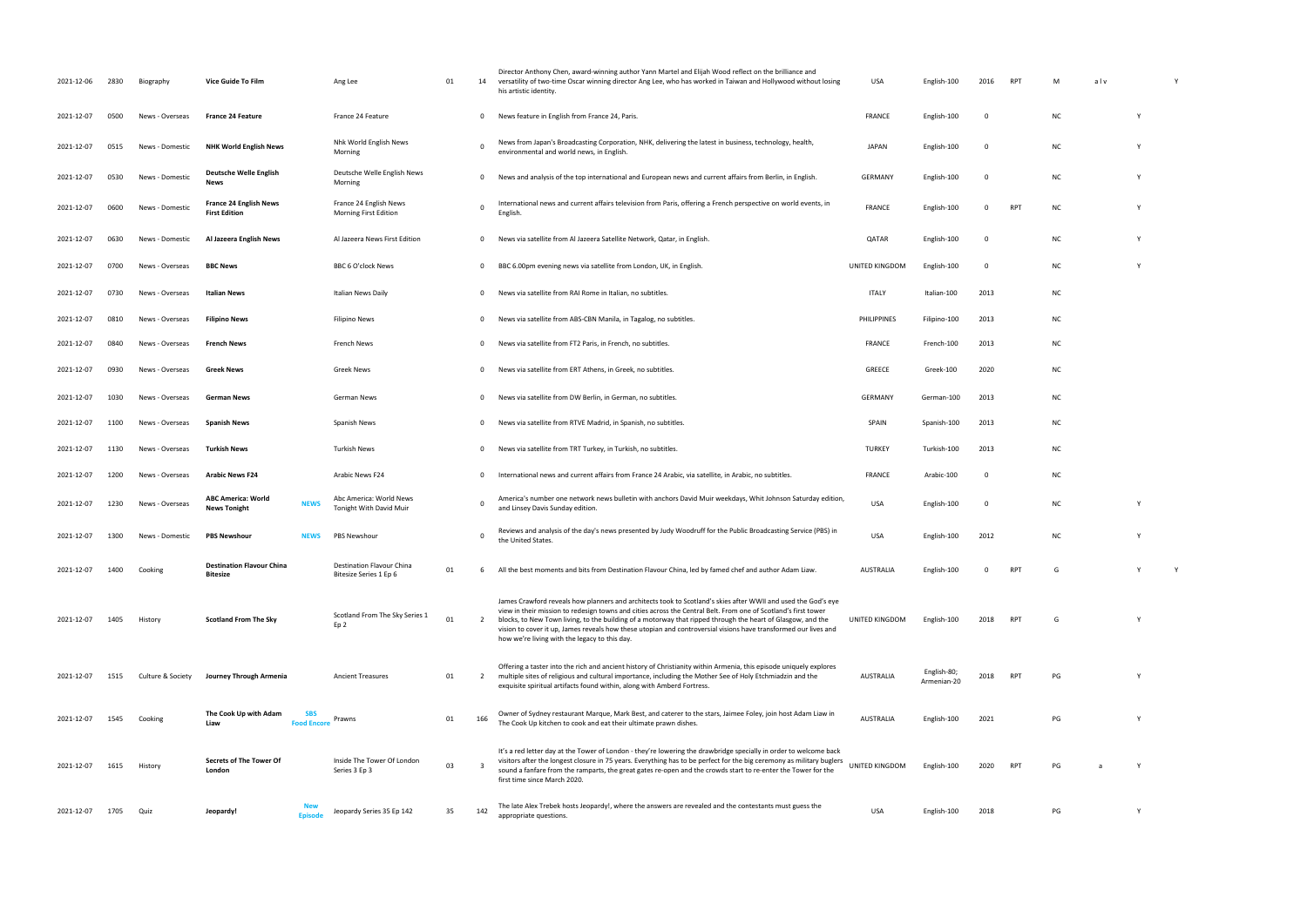| 2021-12-06 | 2830 | Biography         | Vice Guide To Film                                              | Ang Lee                                             | 01 | 14             | Director Anthony Chen, award-winning author Yann Martel and Elijah Wood reflect on the brilliance and<br>versatility of two-time Oscar winning director Ang Lee, who has worked in Taiwan and Hollywood without losing<br>his artistic identity.                                                                                                                                                                                                                                                                   | USA              | English-100                | 2016        | RPT        | M         | alv |              |
|------------|------|-------------------|-----------------------------------------------------------------|-----------------------------------------------------|----|----------------|--------------------------------------------------------------------------------------------------------------------------------------------------------------------------------------------------------------------------------------------------------------------------------------------------------------------------------------------------------------------------------------------------------------------------------------------------------------------------------------------------------------------|------------------|----------------------------|-------------|------------|-----------|-----|--------------|
| 2021-12-07 | 0500 | News - Overseas   | <b>France 24 Feature</b>                                        | France 24 Feature                                   |    | 0              | News feature in English from France 24, Paris.                                                                                                                                                                                                                                                                                                                                                                                                                                                                     | FRANCE           | English-100                | $\mathbf 0$ |            | <b>NC</b> |     |              |
| 2021-12-07 | 0515 | News - Domestic   | <b>NHK World English News</b>                                   | Nhk World English News<br>Morning                   |    | $\Omega$       | News from Japan's Broadcasting Corporation, NHK, delivering the latest in business, technology, health,<br>environmental and world news, in English.                                                                                                                                                                                                                                                                                                                                                               | <b>JAPAN</b>     | English-100                | 0           |            | ΝC        |     |              |
| 2021-12-07 | 0530 | News - Domestic   | Deutsche Welle English<br>News                                  | Deutsche Welle English News<br>Morning              |    | $\mathbf 0$    | News and analysis of the top international and European news and current affairs from Berlin, in English.                                                                                                                                                                                                                                                                                                                                                                                                          | <b>GERMANY</b>   | English-100                | 0           |            | <b>NC</b> |     |              |
| 2021-12-07 | 0600 | News - Domestic   | <b>France 24 English News</b><br><b>First Edition</b>           | France 24 English News<br>Morning First Edition     |    | $\Omega$       | International news and current affairs television from Paris, offering a French perspective on world events, in<br>English.                                                                                                                                                                                                                                                                                                                                                                                        | <b>FRANCE</b>    | English-100                | 0           | <b>RPT</b> | NC        |     |              |
| 2021-12-07 | 0630 | News - Domestic   | Al Jazeera English News                                         | Al Jazeera News First Edition                       |    | $\mathbf 0$    | News via satellite from Al Jazeera Satellite Network, Qatar, in English.                                                                                                                                                                                                                                                                                                                                                                                                                                           | QATAR            | English-100                | 0           |            | ΝC        |     |              |
| 2021-12-07 | 0700 | News - Overseas   | <b>BBC News</b>                                                 | BBC 6 O'clock News                                  |    | $\mathbf 0$    | BBC 6.00pm evening news via satellite from London, UK, in English.                                                                                                                                                                                                                                                                                                                                                                                                                                                 | UNITED KINGDOM   | English-100                | 0           |            | ΝC        |     |              |
| 2021-12-07 | 0730 | News - Overseas   | Italian News                                                    | Italian News Daily                                  |    | 0              | News via satellite from RAI Rome in Italian, no subtitles.                                                                                                                                                                                                                                                                                                                                                                                                                                                         | <b>ITALY</b>     | Italian-100                | 2013        |            | ΝC        |     |              |
| 2021-12-07 | 0810 | News - Overseas   | <b>Filipino News</b>                                            | Filipino News                                       |    | $\mathbf 0$    | News via satellite from ABS-CBN Manila, in Tagalog, no subtitles.                                                                                                                                                                                                                                                                                                                                                                                                                                                  | PHILIPPINES      | Filipino-100               | 2013        |            | NC.       |     |              |
| 2021-12-07 | 0840 | News - Overseas   | <b>French News</b>                                              | French News                                         |    | $\mathbf 0$    | News via satellite from FT2 Paris, in French, no subtitles.                                                                                                                                                                                                                                                                                                                                                                                                                                                        | FRANCE           | French-100                 | 2013        |            | ΝC        |     |              |
| 2021-12-07 | 0930 | News - Overseas   | <b>Greek News</b>                                               | <b>Greek News</b>                                   |    | 0              | News via satellite from ERT Athens, in Greek, no subtitles.                                                                                                                                                                                                                                                                                                                                                                                                                                                        | GREECE           | Greek-100                  | 2020        |            | ΝC        |     |              |
| 2021-12-07 | 1030 | News - Overseas   | <b>German News</b>                                              | German News                                         |    | $\mathbf 0$    | News via satellite from DW Berlin, in German, no subtitles.                                                                                                                                                                                                                                                                                                                                                                                                                                                        | <b>GERMANY</b>   | German-100                 | 2013        |            | <b>NC</b> |     |              |
| 2021-12-07 | 1100 | News - Overseas   | <b>Spanish News</b>                                             | Spanish News                                        |    | $\mathbf 0$    | News via satellite from RTVE Madrid, in Spanish, no subtitles.                                                                                                                                                                                                                                                                                                                                                                                                                                                     | SPAIN            | Spanish-100                | 2013        |            | <b>NC</b> |     |              |
| 2021-12-07 | 1130 | News - Overseas   | <b>Turkish News</b>                                             | Turkish News                                        |    | 0              | News via satellite from TRT Turkey, in Turkish, no subtitles.                                                                                                                                                                                                                                                                                                                                                                                                                                                      | <b>TURKEY</b>    | Turkish-100                | 2013        |            | ΝC        |     |              |
| 2021-12-07 | 1200 | News - Overseas   | <b>Arabic News F24</b>                                          | Arabic News F24                                     |    | $\mathbf 0$    | International news and current affairs from France 24 Arabic, via satellite, in Arabic, no subtitles.                                                                                                                                                                                                                                                                                                                                                                                                              | FRANCE           | Arabic-100                 | $\mathbf 0$ |            | ΝC        |     |              |
| 2021-12-07 | 1230 | News - Overseas   | <b>ABC America: World</b><br><b>NEWS</b><br><b>News Tonight</b> | Abc America: World News<br>Tonight With David Muir  |    | $\Omega$       | America's number one network news bulletin with anchors David Muir weekdays, Whit Johnson Saturday edition,<br>and Linsey Davis Sunday edition.                                                                                                                                                                                                                                                                                                                                                                    | USA              | English-100                | $\mathbf 0$ |            | <b>NC</b> |     |              |
| 2021-12-07 | 1300 | News - Domestic   | <b>PBS Newshour</b><br><b>NEWS</b>                              | PBS Newshour                                        |    | $\Omega$       | Reviews and analysis of the day's news presented by Judy Woodruff for the Public Broadcasting Service (PBS) in<br>the United States.                                                                                                                                                                                                                                                                                                                                                                               | USA              | English-100                | 2012        |            | ΝC        |     | Y            |
| 2021-12-07 | 1400 | Cooking           | <b>Destination Flavour China</b><br><b>Bitesize</b>             | Destination Flavour China<br>Bitesize Series 1 Ep 6 | 01 | <b>b</b>       | All the best moments and bits from Destination Flavour China, led by famed chef and author Adam Liaw.                                                                                                                                                                                                                                                                                                                                                                                                              | <b>AUSTRALIA</b> | English-100                |             |            |           |     |              |
| 2021-12-07 | 1405 | History           | <b>Scotland From The Sky</b>                                    | Scotland From The Sky Series 1<br>Ep 2              | 01 | $\overline{2}$ | James Crawford reveals how planners and architects took to Scotland's skies after WWII and used the God's eye<br>view in their mission to redesign towns and cities across the Central Belt. From one of Scotland's first tower<br>blocks, to New Town living, to the building of a motorway that ripped through the heart of Glasgow, and the<br>vision to cover it up, James reveals how these utopian and controversial visions have transformed our lives and<br>how we're living with the legacy to this day. | UNITED KINGDOM   | English-100                | 2018        | <b>RPT</b> | G         |     | <b>V</b>     |
| 2021-12-07 | 1515 | Culture & Society | Journey Through Armenia                                         | <b>Ancient Treasures</b>                            | 01 | 2              | Offering a taster into the rich and ancient history of Christianity within Armenia, this episode uniquely explores<br>multiple sites of religious and cultural importance, including the Mother See of Holy Etchmiadzin and the<br>exquisite spiritual artifacts found within, along with Amberd Fortress.                                                                                                                                                                                                         | <b>AUSTRALIA</b> | English-80;<br>Armenian-20 | 2018        | <b>RPT</b> | PG        |     |              |
| 2021-12-07 | 1545 | Cooking           | The Cook Up with Adam<br>Liaw<br><b>Food Encore</b>             | Prawns                                              | 01 | 166            | Owner of Sydney restaurant Marque, Mark Best, and caterer to the stars, Jaimee Foley, join host Adam Liaw in<br>The Cook Up kitchen to cook and eat their ultimate prawn dishes.                                                                                                                                                                                                                                                                                                                                   | AUSTRALIA        | English-100                | 2021        |            | PG        |     |              |
| 2021-12-07 | 1615 | History           | Secrets of The Tower Of<br>London                               | Inside The Tower Of London<br>Series 3 Ep 3         | 03 | $\overline{3}$ | It's a red letter day at the Tower of London - they're lowering the drawbridge specially in order to welcome back<br>visitors after the longest closure in 75 years. Everything has to be perfect for the big ceremony as military buglers<br>sound a fanfare from the ramparts, the great gates re-open and the crowds start to re-enter the Tower for the<br>first time since March 2020.                                                                                                                        | UNITED KINGDOM   | English-100                | 2020        | <b>RPT</b> | PG        |     |              |
| 2021-12-07 |      | Quiz              | Jeopardy!<br>Episod                                             | Jeopardy Series 35 Ep 142                           | 35 | 142            | The late Alex Trebek hosts Jeopardy!, where the answers are revealed and the contestants must guess the<br>appropriate questions.                                                                                                                                                                                                                                                                                                                                                                                  | <b>USA</b>       | English-100                | 2018        |            | PG        |     | $\mathsf{Y}$ |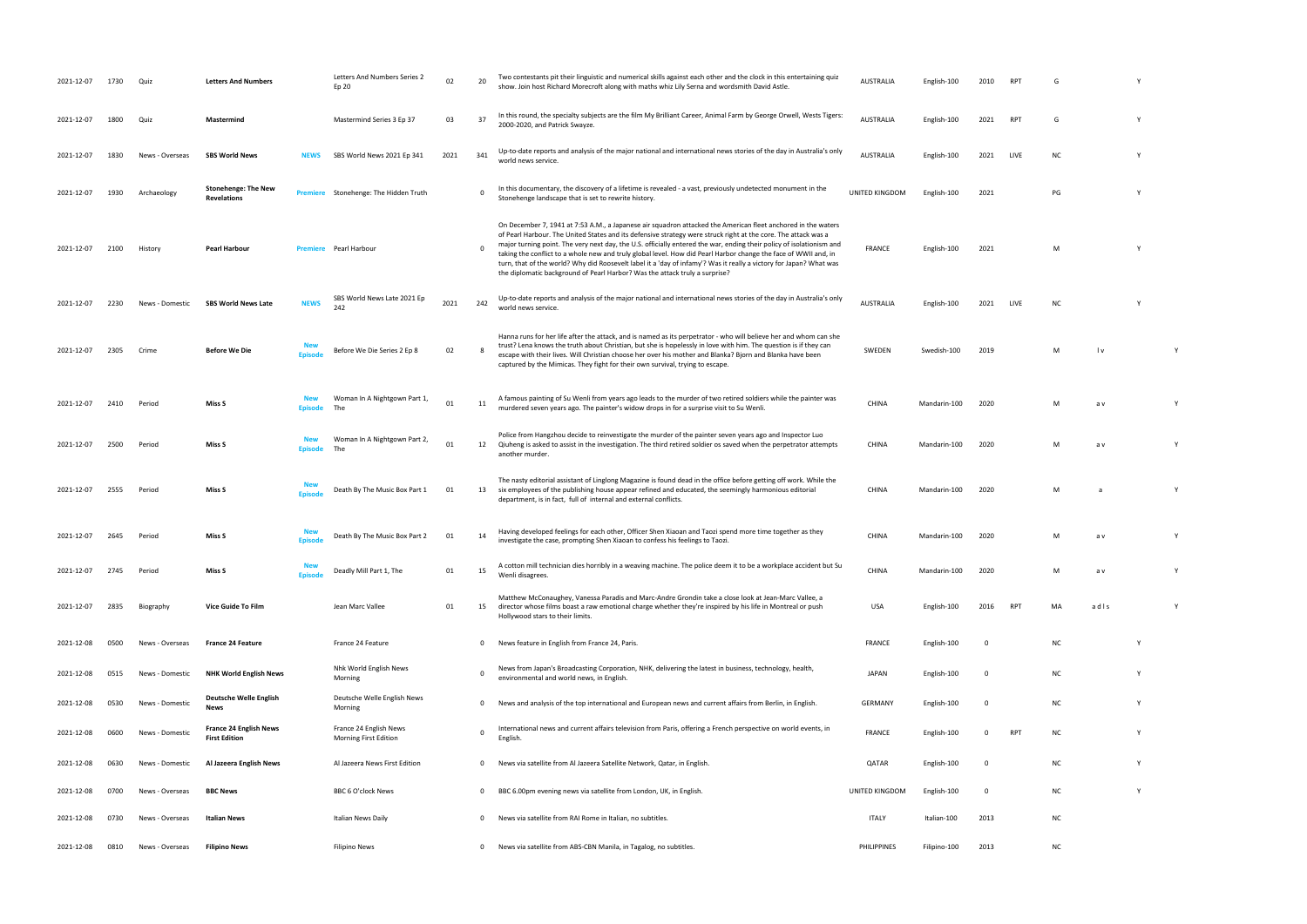| 2021-12-07 | 1730 | Quiz            | <b>Letters And Numbers</b>                            |               | Letters And Numbers Series 2<br>Ep 20           | 02   | 20          | Two contestants pit their linguistic and numerical skills against each other and the clock in this entertaining quiz<br>show. Join host Richard Morecroft along with maths whiz Lily Serna and wordsmith David Astle.                                                                                                                                                                                                                                                                                                                                                                                                                                                          | <b>AUSTRALIA</b> | English-100  | 2010        |                 |           |      |  |
|------------|------|-----------------|-------------------------------------------------------|---------------|-------------------------------------------------|------|-------------|--------------------------------------------------------------------------------------------------------------------------------------------------------------------------------------------------------------------------------------------------------------------------------------------------------------------------------------------------------------------------------------------------------------------------------------------------------------------------------------------------------------------------------------------------------------------------------------------------------------------------------------------------------------------------------|------------------|--------------|-------------|-----------------|-----------|------|--|
| 2021-12-07 | 1800 | Quiz            | Mastermind                                            |               | Mastermind Series 3 Ep 37                       | 03   | 37          | In this round, the specialty subjects are the film My Brilliant Career, Animal Farm by George Orwell, Wests Tigers:<br>2000-2020, and Patrick Swayze.                                                                                                                                                                                                                                                                                                                                                                                                                                                                                                                          | <b>AUSTRALIA</b> | English-100  | 2021        | RP <sup>-</sup> | G         |      |  |
| 2021-12-07 | 1830 | News - Overseas | <b>SBS World News</b>                                 | <b>NEWS</b>   | SBS World News 2021 Ep 341                      | 2021 | 341         | Up-to-date reports and analysis of the major national and international news stories of the day in Australia's only<br>world news service.                                                                                                                                                                                                                                                                                                                                                                                                                                                                                                                                     | <b>AUSTRALIA</b> | English-100  | 2021        | LIVE            | <b>NC</b> |      |  |
| 2021-12-07 | 1930 | Archaeology     | <b>Stonehenge: The New</b><br><b>Revelations</b>      |               | <b>Premiere</b> Stonehenge: The Hidden Truth    |      | 0           | In this documentary, the discovery of a lifetime is revealed - a vast, previously undetected monument in the<br>Stonehenge landscape that is set to rewrite history.                                                                                                                                                                                                                                                                                                                                                                                                                                                                                                           | UNITED KINGDOM   | English-100  | 2021        |                 | PG        |      |  |
| 2021-12-07 | 2100 | History         | Pearl Harbour                                         |               | Pearl Harbour                                   |      | 0           | On December 7, 1941 at 7:53 A.M., a Japanese air squadron attacked the American fleet anchored in the waters<br>of Pearl Harbour. The United States and its defensive strategy were struck right at the core. The attack was a<br>major turning point. The very next day, the U.S. officially entered the war, ending their policy of isolationism and<br>taking the conflict to a whole new and truly global level. How did Pearl Harbor change the face of WWII and, in<br>turn, that of the world? Why did Roosevelt label it a 'day of infamy'? Was it really a victory for Japan? What was<br>the diplomatic background of Pearl Harbor? Was the attack truly a surprise? | <b>FRANCE</b>    | English-100  | 2021        |                 | M         |      |  |
| 2021-12-07 | 2230 | News - Domestic | <b>SBS World News Late</b>                            | <b>NEWS</b>   | SBS World News Late 2021 Ep<br>242              | 2021 | 242         | Up-to-date reports and analysis of the major national and international news stories of the day in Australia's only<br>world news service.                                                                                                                                                                                                                                                                                                                                                                                                                                                                                                                                     | <b>AUSTRALIA</b> | English-100  | 2021        | LIVE            | NC.       |      |  |
| 2021-12-07 | 2305 | Crime           | <b>Before We Die</b>                                  | <b>Episod</b> | Before We Die Series 2 Ep 8                     | 02   | -8          | Hanna runs for her life after the attack, and is named as its perpetrator - who will believe her and whom can she<br>trust? Lena knows the truth about Christian, but she is hopelessly in love with him. The question is if they can<br>escape with their lives. Will Christian choose her over his mother and Blanka? Bjorn and Blanka have been<br>captured by the Mimicas. They fight for their own survival, trying to escape.                                                                                                                                                                                                                                            | SWEDEN           | Swedish-100  | 2019        |                 | M         | l v  |  |
| 2021-12-07 | 2410 | Period          | Miss S                                                |               | Woman In A Nightgown Part 1,<br>The             | 01   | 11          | A famous painting of Su Wenli from years ago leads to the murder of two retired soldiers while the painter was<br>murdered seven years ago. The painter's widow drops in for a surprise visit to Su Wenli.                                                                                                                                                                                                                                                                                                                                                                                                                                                                     | CHINA            | Mandarin-100 | 2020        |                 | м         | a v  |  |
| 2021-12-07 | 2500 | Period          | Miss S                                                |               | Woman In A Nightgown Part 2,                    | 01   | 12          | Police from Hangzhou decide to reinvestigate the murder of the painter seven years ago and Inspector Luo<br>Qiuheng is asked to assist in the investigation. The third retired soldier os saved when the perpetrator attempts<br>another murder.                                                                                                                                                                                                                                                                                                                                                                                                                               | CHINA            | Mandarin-100 | 2020        |                 | м         | a v  |  |
| 2021-12-07 | 2555 | Period          | Miss S                                                |               | Death By The Music Box Part 1                   | 01   | 13          | The nasty editorial assistant of Linglong Magazine is found dead in the office before getting off work. While the<br>six employees of the publishing house appear refined and educated, the seemingly harmonious editorial<br>department, is in fact, full of internal and external conflicts.                                                                                                                                                                                                                                                                                                                                                                                 | <b>CHINA</b>     | Mandarin-100 | 2020        |                 | M         |      |  |
| 2021-12-07 | 2645 | Period          | Miss S                                                | <b>Enisod</b> | Death By The Music Box Part 2                   | 01   | 14          | Having developed feelings for each other, Officer Shen Xiaoan and Taozi spend more time together as they<br>investigate the case, prompting Shen Xiaoan to confess his feelings to Taozi.                                                                                                                                                                                                                                                                                                                                                                                                                                                                                      | CHINA            | Mandarin-100 | 2020        |                 | м         | a v  |  |
| 2021-12-07 | 2745 | Period          | Miss S                                                | <b>Episod</b> | Deadly Mill Part 1, The                         | 01   | 15          | A cotton mill technician dies horribly in a weaving machine. The police deem it to be a workplace accident but Su<br>Wenli disagrees.                                                                                                                                                                                                                                                                                                                                                                                                                                                                                                                                          | CHINA            | Mandarin-100 | 2020        |                 | м         | a v  |  |
| 2021-12-07 | 2835 | Biography       | <b>Vice Guide To Film</b>                             |               | Jean Marc Vallee                                | 01   | 15          | Matthew McConaughey, Vanessa Paradis and Marc-Andre Grondin take a close look at Jean-Marc Vallee, a<br>director whose films boast a raw emotional charge whether they're inspired by his life in Montreal or push<br>Hollywood stars to their limits.                                                                                                                                                                                                                                                                                                                                                                                                                         | USA              | English-100  | 2016        | RP              | MA        | adls |  |
| 2021-12-08 | 0500 | News - Overseas | <b>France 24 Feature</b>                              |               | France 24 Feature                               |      | 0           | News feature in English from France 24, Paris.                                                                                                                                                                                                                                                                                                                                                                                                                                                                                                                                                                                                                                 | <b>FRANCE</b>    | English-100  | - 0         |                 | <b>NC</b> |      |  |
| 2021-12-08 | 0515 | News - Domestic | <b>NHK World English News</b>                         |               | Nhk World English News<br>Morning               |      | $\mathbf 0$ | News from Japan's Broadcasting Corporation, NHK, delivering the latest in business, technology, health,<br>environmental and world news, in English.                                                                                                                                                                                                                                                                                                                                                                                                                                                                                                                           | <b>JAPAN</b>     | English-100  | -0          |                 | <b>NC</b> |      |  |
| 2021-12-08 | 0530 | News - Domestic | Deutsche Welle English<br><b>News</b>                 |               | Deutsche Welle English News<br>Morning          |      | 0           | News and analysis of the top international and European news and current affairs from Berlin, in English.                                                                                                                                                                                                                                                                                                                                                                                                                                                                                                                                                                      | <b>GERMANY</b>   | English-100  | 0           |                 | <b>NC</b> |      |  |
| 2021-12-08 | 0600 | News - Domestic | <b>France 24 English News</b><br><b>First Edition</b> |               | France 24 English News<br>Morning First Edition |      | 0           | International news and current affairs television from Paris, offering a French perspective on world events, in<br>English.                                                                                                                                                                                                                                                                                                                                                                                                                                                                                                                                                    | <b>FRANCE</b>    | English-100  |             | RPT             | <b>NC</b> |      |  |
| 2021-12-08 | 0630 | News - Domestic | Al Jazeera English News                               |               | Al Jazeera News First Edition                   |      | 0           | News via satellite from Al Jazeera Satellite Network, Qatar, in English.                                                                                                                                                                                                                                                                                                                                                                                                                                                                                                                                                                                                       | QATAR            | English-100  | $\mathbf 0$ |                 | <b>NC</b> |      |  |
| 2021-12-08 | 0700 | News - Overseas | <b>BBC News</b>                                       |               | BBC 6 O'clock News                              |      | 0           | BBC 6.00pm evening news via satellite from London, UK, in English.                                                                                                                                                                                                                                                                                                                                                                                                                                                                                                                                                                                                             | UNITED KINGDOM   | English-100  | $\Omega$    |                 | <b>NC</b> |      |  |
| 2021-12-08 | 0730 | News - Overseas | Italian News                                          |               | Italian News Daily                              |      | 0           | News via satellite from RAI Rome in Italian, no subtitles.                                                                                                                                                                                                                                                                                                                                                                                                                                                                                                                                                                                                                     | <b>ITALY</b>     | Italian-100  | 2013        |                 | <b>NC</b> |      |  |
| 2021-12-08 | 0810 | News - Overseas | <b>Filipino News</b>                                  |               | <b>Filipino News</b>                            |      | 0           | News via satellite from ABS-CBN Manila, in Tagalog, no subtitles.                                                                                                                                                                                                                                                                                                                                                                                                                                                                                                                                                                                                              | PHILIPPINES      | Filipino-100 | 2013        |                 | <b>NC</b> |      |  |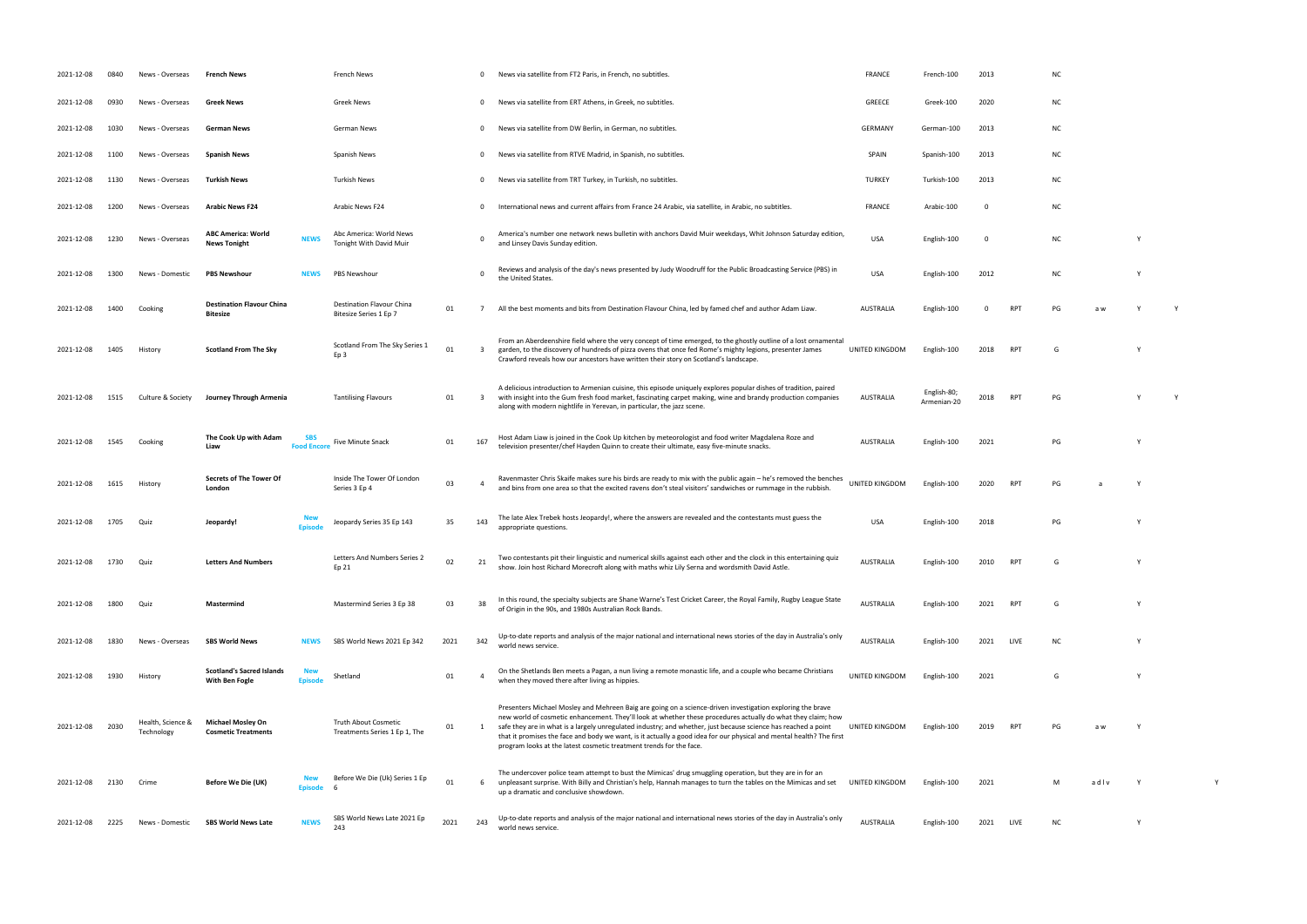| 2021-12-08 | 0840 | News - Overseas                 | French News                                            |                                  | French News                                           |      | 0                       | News via satellite from FT2 Paris, in French, no subtitles.                                                                                                                                                                                                                                                                                                                                                                                                                                                                                 | <b>FRANCE</b>    | French-100                 | 2013     |                | <b>NC</b> |      |          |  |
|------------|------|---------------------------------|--------------------------------------------------------|----------------------------------|-------------------------------------------------------|------|-------------------------|---------------------------------------------------------------------------------------------------------------------------------------------------------------------------------------------------------------------------------------------------------------------------------------------------------------------------------------------------------------------------------------------------------------------------------------------------------------------------------------------------------------------------------------------|------------------|----------------------------|----------|----------------|-----------|------|----------|--|
| 2021-12-08 | 0930 | News - Overseas                 | <b>Greek News</b>                                      |                                  | <b>Greek News</b>                                     |      | $\mathbf{0}$            | News via satellite from ERT Athens, in Greek, no subtitles.                                                                                                                                                                                                                                                                                                                                                                                                                                                                                 | GREECE           | Greek-100                  | 2020     |                | ΝC        |      |          |  |
| 2021-12-08 | 1030 | News - Overseas                 | <b>German News</b>                                     |                                  | German News                                           |      | $\mathbf{0}$            | News via satellite from DW Berlin, in German, no subtitles.                                                                                                                                                                                                                                                                                                                                                                                                                                                                                 | <b>GERMANY</b>   | German-100                 | 2013     |                | ΝC        |      |          |  |
| 2021-12-08 | 1100 | News - Overseas                 | <b>Spanish News</b>                                    |                                  | Spanish News                                          |      | 0                       | News via satellite from RTVE Madrid, in Spanish, no subtitles.                                                                                                                                                                                                                                                                                                                                                                                                                                                                              | SPAIN            | Spanish-100                | 2013     |                | NC.       |      |          |  |
| 2021-12-08 | 1130 | News - Overseas                 | Turkish News                                           |                                  | <b>Turkish News</b>                                   |      | $\mathbf{0}$            | News via satellite from TRT Turkey, in Turkish, no subtitles.                                                                                                                                                                                                                                                                                                                                                                                                                                                                               | <b>TURKEY</b>    | Turkish-100                | 2013     |                | <b>NC</b> |      |          |  |
| 2021-12-08 | 1200 | News - Overseas                 | <b>Arabic News F24</b>                                 |                                  | Arabic News F24                                       |      | 0                       | International news and current affairs from France 24 Arabic, via satellite, in Arabic, no subtitles.                                                                                                                                                                                                                                                                                                                                                                                                                                       | <b>FRANCE</b>    | Arabic-100                 | $\Omega$ |                | ΝC        |      |          |  |
| 2021-12-08 | 1230 | News - Overseas                 | <b>ABC America: World</b><br><b>News Tonight</b>       | <b>NEWS</b>                      | Abc America: World News<br>Tonight With David Muir    |      | $\mathbf 0$             | America's number one network news bulletin with anchors David Muir weekdays, Whit Johnson Saturday edition,<br>and Linsey Davis Sunday edition.                                                                                                                                                                                                                                                                                                                                                                                             | USA              | English-100                | 0        |                | <b>NC</b> |      | Y        |  |
| 2021-12-08 | 1300 | News - Domestic                 | <b>PBS Newshour</b>                                    | <b>NEWS</b>                      | <b>PBS Newshour</b>                                   |      | $\mathsf{o}\,$          | Reviews and analysis of the day's news presented by Judy Woodruff for the Public Broadcasting Service (PBS) in<br>the United States.                                                                                                                                                                                                                                                                                                                                                                                                        | USA              | English-100                | 2012     |                | <b>NC</b> |      | Y        |  |
| 2021-12-08 | 1400 | Cooking                         | <b>Destination Flavour China</b><br><b>Bitesize</b>    |                                  | Destination Flavour China<br>Bitesize Series 1 Ep 7   | 01   | -7                      | All the best moments and bits from Destination Flavour China, led by famed chef and author Adam Liaw.                                                                                                                                                                                                                                                                                                                                                                                                                                       | <b>AUSTRALIA</b> | English-100                |          | R <sub>D</sub> |           |      |          |  |
| 2021-12-08 | 1405 | History                         | <b>Scotland From The Sky</b>                           |                                  | Scotland From The Sky Series 1<br>Ep 3                | 01   | $\overline{\mathbf{3}}$ | From an Aberdeenshire field where the very concept of time emerged, to the ghostly outline of a lost ornamental<br>garden, to the discovery of hundreds of pizza ovens that once fed Rome's mighty legions, presenter James<br>Crawford reveals how our ancestors have written their story on Scotland's landscape.                                                                                                                                                                                                                         | UNITED KINGDOM   | English-100                | 2018     | <b>RPT</b>     | G         |      | <b>V</b> |  |
| 2021-12-08 | 1515 | Culture & Society               | Journey Through Armenia                                |                                  | <b>Tantilising Flavours</b>                           | 01   | $\overline{\mathbf{3}}$ | A delicious introduction to Armenian cuisine, this episode uniquely explores popular dishes of tradition, paired<br>with insight into the Gum fresh food market, fascinating carpet making, wine and brandy production companies<br>along with modern nightlife in Yerevan, in particular, the jazz scene.                                                                                                                                                                                                                                  | <b>AUSTRALIA</b> | English-80;<br>Armenian-20 | 2018     | RPT            | PG        |      |          |  |
| 2021-12-08 | 1545 | Cooking                         | The Cook Up with Adam<br>Liaw                          | <b>SBS</b><br><b>Food Encore</b> | Five Minute Snack                                     | 01   | 167                     | Host Adam Liaw is joined in the Cook Up kitchen by meteorologist and food writer Magdalena Roze and<br>television presenter/chef Hayden Quinn to create their ultimate, easy five-minute snacks.                                                                                                                                                                                                                                                                                                                                            | <b>AUSTRALIA</b> | English-100                | 2021     |                | PG        |      | Y        |  |
| 2021-12-08 | 1615 | History                         | Secrets of The Tower Of<br>London                      |                                  | Inside The Tower Of London<br>Series 3 Ep 4           | 03   | $\overline{4}$          | Ravenmaster Chris Skaife makes sure his birds are ready to mix with the public again - he's removed the benches<br>and bins from one area so that the excited ravens don't steal visitors' sandwiches or rummage in the rubbish.                                                                                                                                                                                                                                                                                                            | UNITED KINGDOM   | English-100                | 2020     | <b>RPT</b>     | PG        |      | Y        |  |
| 2021-12-08 |      | Quiz                            | Jeopardy!                                              |                                  | Jeopardy Series 35 Ep 143                             | 35   | 143                     | The late Alex Trebek hosts Jeopardy!, where the answers are revealed and the contestants must guess the<br>appropriate questions.                                                                                                                                                                                                                                                                                                                                                                                                           | <b>USA</b>       | English-100                | 2018     |                | PG        |      | Y        |  |
| 2021-12-08 | 1730 | Quiz                            | <b>Letters And Numbers</b>                             |                                  | Letters And Numbers Series 2<br>Ep 21                 | 02   | 21                      | Two contestants pit their linguistic and numerical skills against each other and the clock in this entertaining quiz<br>show. Join host Richard Morecroft along with maths whiz Lily Serna and wordsmith David Astle.                                                                                                                                                                                                                                                                                                                       | <b>AUSTRALIA</b> | English-100                | 2010     | <b>RPT</b>     | G         |      |          |  |
| 2021-12-08 | 1800 | Quiz                            | Mastermind                                             |                                  | Mastermind Series 3 Ep 38                             | 03   | 38                      | In this round, the specialty subjects are Shane Warne's Test Cricket Career, the Royal Family, Rugby League State<br>of Origin in the 90s, and 1980s Australian Rock Bands.                                                                                                                                                                                                                                                                                                                                                                 | <b>AUSTRALIA</b> | English-100                | 2021     | <b>RPT</b>     | G         |      |          |  |
| 2021-12-08 | 1830 | News - Overseas                 | <b>SBS World News</b>                                  | <b>NEWS</b>                      | SBS World News 2021 Ep 342                            | 2021 | 342                     | Up-to-date reports and analysis of the major national and international news stories of the day in Australia's only<br>world news service.                                                                                                                                                                                                                                                                                                                                                                                                  | <b>AUSTRALIA</b> | English-100                | 2021     | LIVE           | <b>NC</b> |      |          |  |
| 2021-12-08 | 1930 | History                         | <b>Scotland's Sacred Islands</b><br>With Ben Fogle     | <b>New</b><br><b>Episod</b>      | Shetland                                              | 01   | $\overline{4}$          | On the Shetlands Ben meets a Pagan, a nun living a remote monastic life, and a couple who became Christians<br>when they moved there after living as hippies.                                                                                                                                                                                                                                                                                                                                                                               | UNITED KINGDOM   | English-100                | 2021     |                | G         |      | <b>V</b> |  |
| 2021-12-08 | 2030 | Health, Science &<br>Technology | <b>Michael Mosley On</b><br><b>Cosmetic Treatments</b> |                                  | Truth About Cosmetic<br>Treatments Series 1 Ep 1, The | 01   | 1                       | Presenters Michael Mosley and Mehreen Baig are going on a science-driven investigation exploring the brave<br>new world of cosmetic enhancement. They'll look at whether these procedures actually do what they claim; how<br>safe they are in what is a largely unregulated industry; and whether, just because science has reached a point<br>that it promises the face and body we want, is it actually a good idea for our physical and mental health? The first<br>program looks at the latest cosmetic treatment trends for the face. | UNITED KINGDOM   | English-100                | 2019     | RPT            | PG        |      |          |  |
| 2021-12-08 | 2130 | Crime                           | Before We Die (UK)                                     | New<br><b>Episode</b>            | Before We Die (Uk) Series 1 Ep                        | 01   | 6                       | The undercover police team attempt to bust the Mimicas' drug smuggling operation, but they are in for an<br>unpleasant surprise. With Billy and Christian's help, Hannah manages to turn the tables on the Mimicas and set<br>up a dramatic and conclusive showdown.                                                                                                                                                                                                                                                                        | UNITED KINGDOM   | English-100                | 2021     |                | м         | adlv | Y        |  |
| 2021-12-08 | 2225 | News - Domestic                 | <b>SBS World News Late</b>                             | <b>NEWS</b>                      | SBS World News Late 2021 Ep<br>243                    | 2021 | 243                     | Up-to-date reports and analysis of the major national and international news stories of the day in Australia's only<br>world news service.                                                                                                                                                                                                                                                                                                                                                                                                  | <b>AUSTRALIA</b> | English-100                | 2021     | LIVE           | NC.       |      | Y        |  |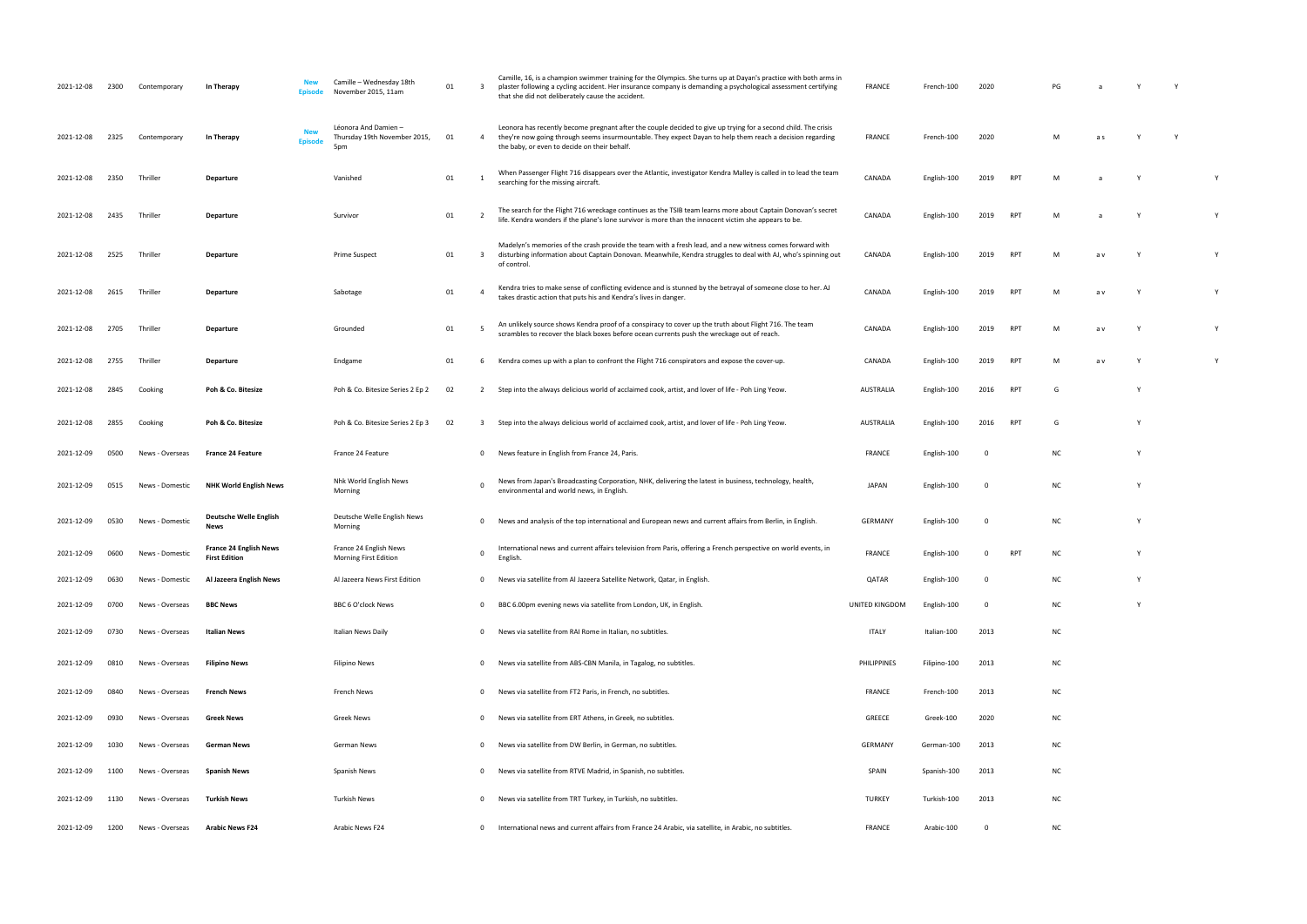| 2021-12-08 | 2300 | Contemporary    | In Therapy                                            | Camille - Wednesday 18th<br>November 2015, 11am                                            | 01 | $\overline{\mathbf{3}}$ | Camille, 16, is a champion swimmer training for the Olympics. She turns up at Dayan's practice with both arms in<br>plaster following a cycling accident. Her insurance company is demanding a psychological assessment certifying<br>that she did not deliberately cause the accident. | <b>FRANCE</b>      | French-100   | 2020        |                 | PG        |     | Y            |   |
|------------|------|-----------------|-------------------------------------------------------|--------------------------------------------------------------------------------------------|----|-------------------------|-----------------------------------------------------------------------------------------------------------------------------------------------------------------------------------------------------------------------------------------------------------------------------------------|--------------------|--------------|-------------|-----------------|-----------|-----|--------------|---|
| 2021-12-08 | 2325 | Contemporary    | In Therapy                                            | Léonora And Damien-<br><b>New</b><br>Thursday 19th November 2015,<br><b>Episode</b><br>5pr | 01 | -4                      | Leonora has recently become pregnant after the couple decided to give up trying for a second child. The crisis<br>they're now going through seems insurmountable. They expect Dayan to help them reach a decision regarding<br>the baby, or even to decide on their behalf.             | <b>FRANCE</b>      | French-100   | 2020        |                 | M         | a s | - Y          |   |
| 2021-12-08 | 2350 | Thriller        | Departure                                             | Vanished                                                                                   | 01 |                         | When Passenger Flight 716 disappears over the Atlantic, investigator Kendra Malley is called in to lead the team<br>searching for the missing aircraft.                                                                                                                                 | CANADA             | English-100  | 2019        | <b>RPT</b>      | M         |     | - Y          | Y |
| 2021-12-08 | 2435 | Thriller        | Departure                                             | Survivor                                                                                   | 01 |                         | The search for the Flight 716 wreckage continues as the TSIB team learns more about Captain Donovan's secret<br>life. Kendra wonders if the plane's lone survivor is more than the innocent victim she appears to be.                                                                   | CANADA             | English-100  | 2019        | RPT             | M         |     |              | Y |
| 2021-12-08 | 2525 | Thriller        | Departure                                             | Prime Suspect                                                                              | 01 | $\overline{\mathbf{3}}$ | Madelyn's memories of the crash provide the team with a fresh lead, and a new witness comes forward with<br>disturbing information about Captain Donovan. Meanwhile, Kendra struggles to deal with AJ, who's spinning out<br>of control.                                                | CANADA             | English-100  | 2019        | <b>RPT</b>      | M         | a v |              | Y |
| 2021-12-08 | 2615 | Thriller        | Departure                                             | Sabotage                                                                                   | 01 | $\overline{a}$          | Kendra tries to make sense of conflicting evidence and is stunned by the betrayal of someone close to her. AJ<br>takes drastic action that puts his and Kendra's lives in danger.                                                                                                       | CANADA             | English-100  | 2019        | <b>RPT</b>      | M         | a v | Y            | Y |
| 2021-12-08 | 2705 | Thriller        | Departure                                             | Grounded                                                                                   | 01 |                         | An unlikely source shows Kendra proof of a conspiracy to cover up the truth about Flight 716. The team<br>scrambles to recover the black boxes before ocean currents push the wreckage out of reach.                                                                                    | CANADA             | English-100  | 2019        | <b>RPT</b>      | M         | a v | Y            | Y |
| 2021-12-08 | 2755 | Thriller        | Departure                                             | Endgame                                                                                    | 01 |                         | Kendra comes up with a plan to confront the Flight 716 conspirators and expose the cover-up.                                                                                                                                                                                            | CANADA             | English-100  | 2019        | <b>RPT</b>      | M         | a v |              | Y |
| 2021-12-08 | 2845 | Cooking         | Poh & Co. Bitesize                                    | Poh & Co. Bitesize Series 2 Ep 2                                                           | 02 | $\overline{2}$          | Step into the always delicious world of acclaimed cook, artist, and lover of life - Poh Ling Yeow.                                                                                                                                                                                      | AUSTRALIA          | English-100  | 2016        | RPT             | G         |     | Y            |   |
| 2021-12-08 | 2855 | Cooking         | Poh & Co. Bitesize                                    | Poh & Co. Bitesize Series 2 Ep 3                                                           | 02 | $\overline{\mathbf{3}}$ | Step into the always delicious world of acclaimed cook, artist, and lover of life - Poh Ling Yeow.                                                                                                                                                                                      | <b>AUSTRALIA</b>   | English-100  | 2016        | RPT             | G         |     | <b>Y</b>     |   |
| 2021-12-09 | 0500 | News - Overseas | <b>France 24 Feature</b>                              | France 24 Feature                                                                          |    | $\mathbf{0}$            | News feature in English from France 24, Paris.                                                                                                                                                                                                                                          | <b>FRANCE</b>      | English-100  | 0           |                 | <b>NC</b> |     | <sup>Y</sup> |   |
| 2021-12-09 | 0515 | News - Domestic | <b>NHK World English News</b>                         | Nhk World English News<br>Morning                                                          |    | $\mathbf 0$             | News from Japan's Broadcasting Corporation, NHK, delivering the latest in business, technology, health,<br>environmental and world news, in English.                                                                                                                                    | <b>JAPAN</b>       | English-100  | 0           |                 | <b>NC</b> |     | Y            |   |
| 2021-12-09 | 0530 | News - Domestic | Deutsche Welle English<br>News                        | Deutsche Welle English News<br>Morning                                                     |    | $\mathbf{0}$            | News and analysis of the top international and European news and current affairs from Berlin, in English.                                                                                                                                                                               | GERMANY            | English-100  | $\Omega$    |                 | <b>NC</b> |     | Y            |   |
| 2021-12-09 | 0600 | News - Domestic | <b>France 24 English News</b><br><b>First Edition</b> | France 24 English News<br>Morning First Edition                                            |    | $\mathbf 0$             | International news and current affairs television from Paris, offering a French perspective on world events, in<br>English.                                                                                                                                                             | <b>FRANCE</b>      | English-100  |             | RP <sub>1</sub> | NC        |     | <sup>V</sup> |   |
| 2021-12-09 | 0630 | News - Domestic | Al Jazeera English News                               | Al Jazeera News First Edition                                                              |    | $\mathbf{0}$            | News via satellite from Al Jazeera Satellite Network, Qatar, in English.                                                                                                                                                                                                                | QATAR              | English-100  | $\Omega$    |                 | NC        |     | Y            |   |
| 2021-12-09 | 0700 | News - Overseas | <b>BBC News</b>                                       | BBC 6 O'clock News                                                                         |    | $\mathbf{0}$            | BBC 6.00pm evening news via satellite from London, UK, in English.                                                                                                                                                                                                                      | UNITED KINGDOM     | English-100  | $\mathbf 0$ |                 | <b>NC</b> |     | Y            |   |
| 2021-12-09 | 0730 | News - Overseas | <b>Italian News</b>                                   | Italian News Daily                                                                         |    | $\mathbf 0$             | News via satellite from RAI Rome in Italian, no subtitles.                                                                                                                                                                                                                              | <b>ITALY</b>       | Italian-100  | 2013        |                 | NC        |     |              |   |
| 2021-12-09 | 0810 | News - Overseas | <b>Filipino News</b>                                  | <b>Filipino News</b>                                                                       |    | $\mathbf 0$             | News via satellite from ABS-CBN Manila, in Tagalog, no subtitles.                                                                                                                                                                                                                       | <b>PHILIPPINES</b> | Filipino-100 | 2013        |                 | NC        |     |              |   |
| 2021-12-09 | 0840 | News - Overseas | <b>French News</b>                                    | French News                                                                                |    | $\mathbf{0}$            | News via satellite from FT2 Paris, in French, no subtitles.                                                                                                                                                                                                                             | <b>FRANCE</b>      | French-100   | 2013        |                 | NC        |     |              |   |
| 2021-12-09 | 0930 | News - Overseas | <b>Greek News</b>                                     | <b>Greek News</b>                                                                          |    | $\mathbf{0}$            | News via satellite from ERT Athens, in Greek, no subtitles.                                                                                                                                                                                                                             | <b>GREECE</b>      | Greek-100    | 2020        |                 | NC        |     |              |   |
| 2021-12-09 | 1030 | News - Overseas | German News                                           | German News                                                                                |    | $\mathbf{0}$            | News via satellite from DW Berlin, in German, no subtitles.                                                                                                                                                                                                                             | GERMANY            | German-100   | 2013        |                 | NC        |     |              |   |
| 2021-12-09 | 1100 | News - Overseas | Spanish News                                          | Spanish News                                                                               |    | $\mathbf{0}$            | News via satellite from RTVE Madrid, in Spanish, no subtitles.                                                                                                                                                                                                                          | SPAIN              | Spanish-100  | 2013        |                 | <b>NC</b> |     |              |   |
| 2021-12-09 | 1130 | News - Overseas | Turkish News                                          | <b>Turkish News</b>                                                                        |    | $\mathbf 0$             | News via satellite from TRT Turkey, in Turkish, no subtitles.                                                                                                                                                                                                                           | <b>TURKEY</b>      | Turkish-100  | 2013        |                 | <b>NC</b> |     |              |   |
| 2021-12-09 | 1200 | News - Overseas | <b>Arabic News F24</b>                                | Arabic News F24                                                                            |    | $\mathbf 0$             | International news and current affairs from France 24 Arabic, via satellite, in Arabic, no subtitles.                                                                                                                                                                                   | FRANCE             | Arabic-100   | $^{\circ}$  |                 | <b>NC</b> |     |              |   |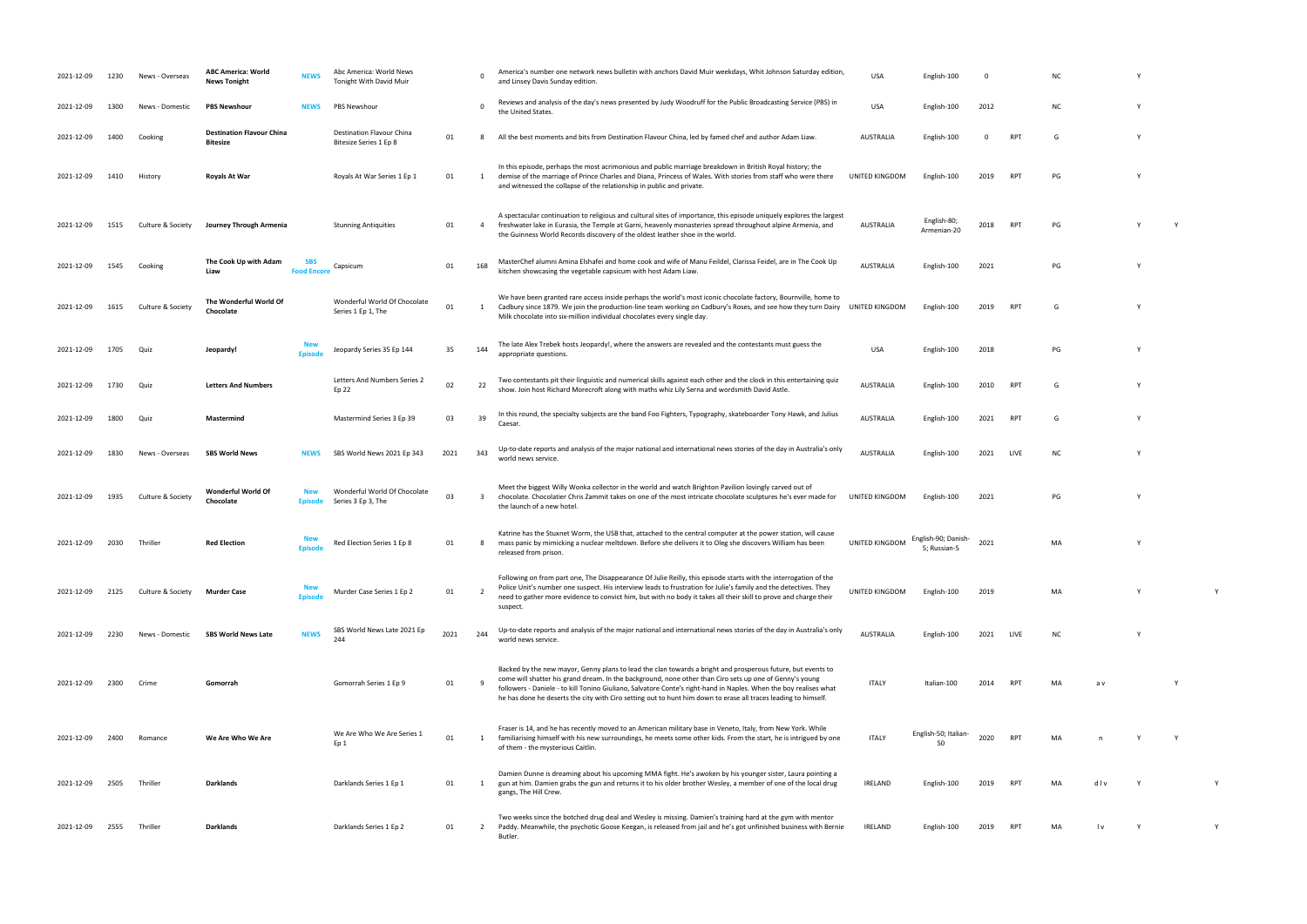| 2021-12-09 | 1230 | News - Overseas   | <b>ABC America: World</b><br><b>News Tonight</b>    | <b>NEWS</b>                    | Abc America: World News<br><b>Tonight With David Muir</b> |      | $\Omega$                | America's number one network news bulletin with anchors David Muir weekdays, Whit Johnson Saturday edition,<br>and Linsey Davis Sunday edition.                                                                                                                                                                                                                                                                                                               | <b>USA</b>       | English-100                        | - 0      |            | N0        |     |   |  |
|------------|------|-------------------|-----------------------------------------------------|--------------------------------|-----------------------------------------------------------|------|-------------------------|---------------------------------------------------------------------------------------------------------------------------------------------------------------------------------------------------------------------------------------------------------------------------------------------------------------------------------------------------------------------------------------------------------------------------------------------------------------|------------------|------------------------------------|----------|------------|-----------|-----|---|--|
| 2021-12-09 | 1300 | News - Domestic   | <b>PBS Newshour</b>                                 | <b>NEWS</b>                    | PBS Newshour                                              |      | $\mathbf 0$             | Reviews and analysis of the day's news presented by Judy Woodruff for the Public Broadcasting Service (PBS) in<br>the United States.                                                                                                                                                                                                                                                                                                                          | <b>USA</b>       | English-100                        | 2012     |            | <b>NC</b> |     |   |  |
| 2021-12-09 | 1400 | Cooking           | <b>Destination Flavour China</b><br><b>Bitesize</b> |                                | Destination Flavour China<br>Bitesize Series 1 Ep 8       | 01   | 8                       | All the best moments and bits from Destination Flavour China, led by famed chef and author Adam Liaw.                                                                                                                                                                                                                                                                                                                                                         | AUSTRALIA        | English-100                        | $\Omega$ | <b>RPT</b> | G         |     |   |  |
| 2021-12-09 | 1410 | History           | Royals At War                                       |                                | Royals At War Series 1 Ep 1                               | 01   | 1                       | In this episode, perhaps the most acrimonious and public marriage breakdown in British Royal history; the<br>demise of the marriage of Prince Charles and Diana, Princess of Wales. With stories from staff who were there<br>and witnessed the collapse of the relationship in public and private.                                                                                                                                                           | UNITED KINGDOM   | English-100                        | 2019     | <b>RPT</b> | PG        |     |   |  |
| 2021-12-09 | 1515 | Culture & Society | Journey Through Armenia                             |                                | <b>Stunning Antiquities</b>                               | 01   | $\overline{4}$          | A spectacular continuation to religious and cultural sites of importance, this episode uniquely explores the largest<br>freshwater lake in Eurasia, the Temple at Garni, heavenly monasteries spread throughout alpine Armenia, and<br>the Guinness World Records discovery of the oldest leather shoe in the world.                                                                                                                                          | AUSTRALIA        | English-80;<br>Armenian-20         | 2018     | <b>RPT</b> | PG        |     | Y |  |
| 2021-12-09 | 1545 | Cooking           | The Cook Up with Adam<br>Liaw                       | <b>SBS</b><br><b>Food Enco</b> | Capsicum                                                  | 01   | 168                     | MasterChef alumni Amina Elshafei and home cook and wife of Manu Feildel, Clarissa Feidel, are in The Cook Up<br>kitchen showcasing the vegetable capsicum with host Adam Liaw.                                                                                                                                                                                                                                                                                | <b>AUSTRALIA</b> | English-100                        | 2021     |            | PG        |     |   |  |
| 2021-12-09 | 1615 | Culture & Society | The Wonderful World Of<br>Chocolate                 |                                | Wonderful World Of Chocolate<br>Series 1 Ep 1, The        | 01   | 1                       | We have been granted rare access inside perhaps the world's most iconic chocolate factory, Bournville, home to<br>Cadbury since 1879. We join the production-line team working on Cadbury's Roses, and see how they turn Dairy UNITED KINGDOM<br>Milk chocolate into six-million individual chocolates every single day.                                                                                                                                      |                  | English-100                        | 2019     | <b>RPT</b> | G         |     |   |  |
| 2021-12-09 | 1705 | Quiz              | Jeopardy!                                           |                                | Jeopardy Series 35 Ep 144                                 | 35   | 144                     | The late Alex Trebek hosts Jeopardy!, where the answers are revealed and the contestants must guess the<br>appropriate questions.                                                                                                                                                                                                                                                                                                                             | <b>USA</b>       | English-100                        | 2018     |            | PG        |     |   |  |
| 2021-12-09 | 1730 | Quiz              | <b>Letters And Numbers</b>                          |                                | Letters And Numbers Series 2<br>Ep 22                     | 02   | 22                      | Two contestants pit their linguistic and numerical skills against each other and the clock in this entertaining quiz<br>show. Join host Richard Morecroft along with maths whiz Lily Serna and wordsmith David Astle.                                                                                                                                                                                                                                         | <b>AUSTRALIA</b> | English-100                        | 2010     | <b>RPT</b> | G         |     |   |  |
| 2021-12-09 | 1800 | Quiz              | Mastermind                                          |                                | Mastermind Series 3 Ep 39                                 | 03   | 39                      | In this round, the specialty subjects are the band Foo Fighters, Typography, skateboarder Tony Hawk, and Julius<br>Caesar                                                                                                                                                                                                                                                                                                                                     | <b>AUSTRALIA</b> | English-100                        | 2021     | RPT        | G         |     |   |  |
| 2021-12-09 | 1830 | News - Overseas   | <b>SBS World News</b>                               | <b>NEWS</b>                    | SBS World News 2021 Ep 343                                | 2021 | 343                     | Up-to-date reports and analysis of the major national and international news stories of the day in Australia's only<br>world news service.                                                                                                                                                                                                                                                                                                                    | <b>AUSTRALIA</b> | English-100                        | 2021     | LIVE       | N0        |     |   |  |
| 2021-12-09 | 1935 | Culture & Society | Wonderful World Of<br>Chocolate                     | Episode                        | Wonderful World Of Chocolate<br>Series 3 Ep 3, The        | 03   | $\overline{\mathbf{3}}$ | Meet the biggest Willy Wonka collector in the world and watch Brighton Pavilion lovingly carved out of<br>chocolate. Chocolatier Chris Zammit takes on one of the most intricate chocolate sculptures he's ever made for<br>the launch of a new hotel.                                                                                                                                                                                                        | UNITED KINGDOM   | English-100                        | 2021     |            | PG        |     |   |  |
| 2021-12-09 | 2030 | Thriller          | <b>Red Election</b>                                 | Episode                        | Red Election Series 1 Ep 8                                | 01   | -8                      | Katrine has the Stuxnet Worm, the USB that, attached to the central computer at the power station, will cause<br>mass panic by mimicking a nuclear meltdown. Before she delivers it to Oleg she discovers William has been<br>released from prison.                                                                                                                                                                                                           | UNITED KINGDOM   | English-90; Danish<br>5; Russian-5 | 2021     |            | MA        |     |   |  |
| 2021-12-09 | 2125 | Culture & Society | <b>Murder Case</b>                                  |                                | Murder Case Series 1 Ep 2                                 | 01   | $\overline{2}$          | Following on from part one, The Disappearance Of Julie Reilly, this episode starts with the interrogation of the<br>Police Unit's number one suspect. His interview leads to frustration for Julie's family and the detectives. They<br>need to gather more evidence to convict him, but with no body it takes all their skill to prove and charge their<br>suspect.                                                                                          | UNITED KINGDOM   | English-100                        | 2019     |            | MA        |     |   |  |
| 2021-12-09 | 2230 | News - Domestic   | <b>SBS World News Late</b>                          | <b>NEWS</b>                    | SBS World News Late 2021 Ep<br>244                        | 2021 | 244                     | Up-to-date reports and analysis of the major national and international news stories of the day in Australia's only<br>world news service.                                                                                                                                                                                                                                                                                                                    | <b>AUSTRALIA</b> | English-100                        | 2021     | LIVE       | <b>NC</b> |     |   |  |
| 2021-12-09 | 2300 | Crime             | Gomorrah                                            |                                | Gomorrah Series 1 Ep 9                                    | 01   | -9                      | Backed by the new mayor, Genny plans to lead the clan towards a bright and prosperous future, but events to<br>come will shatter his grand dream. In the background, none other than Ciro sets up one of Genny's young<br>followers - Daniele - to kill Tonino Giuliano, Salvatore Conte's right-hand in Naples. When the boy realises what<br>he has done he deserts the city with Ciro setting out to hunt him down to erase all traces leading to himself. | <b>ITALY</b>     | Italian-100                        | 2014     |            |           |     |   |  |
| 2021-12-09 | 2400 | Romance           | We Are Who We Are                                   |                                | We Are Who We Are Series 1<br>Ep 1                        | 01   | 1                       | Fraser is 14, and he has recently moved to an American military base in Veneto, Italy, from New York. While<br>familiarising himself with his new surroundings, he meets some other kids. From the start, he is intrigued by one<br>of them - the mysterious Caitlin.                                                                                                                                                                                         | <b>ITALY</b>     | English-50; Italian-               | 2020     | <b>RPT</b> | MA        |     |   |  |
| 2021-12-09 | 2505 | Thriller          | Darklands                                           |                                | Darklands Series 1 Ep 1                                   | 01   | 1                       | Damien Dunne is dreaming about his upcoming MMA fight. He's awoken by his younger sister, Laura pointing a<br>gun at him. Damien grabs the gun and returns it to his older brother Wesley, a member of one of the local drug<br>gangs, The Hill Crew.                                                                                                                                                                                                         | IRELAND          | English-100                        |          |            | MA        | div |   |  |
| 2021-12-09 | 2555 | Thriller          | Darklands                                           |                                | Darklands Series 1 Ep 2                                   | 01   | 2                       | Two weeks since the botched drug deal and Wesley is missing. Damien's training hard at the gym with mentor<br>Paddy. Meanwhile, the psychotic Goose Keegan, is released from jail and he's got unfinished business with Bernie<br>Butler.                                                                                                                                                                                                                     | IRELAND          | English-100                        | 2019     |            | MA        | I v |   |  |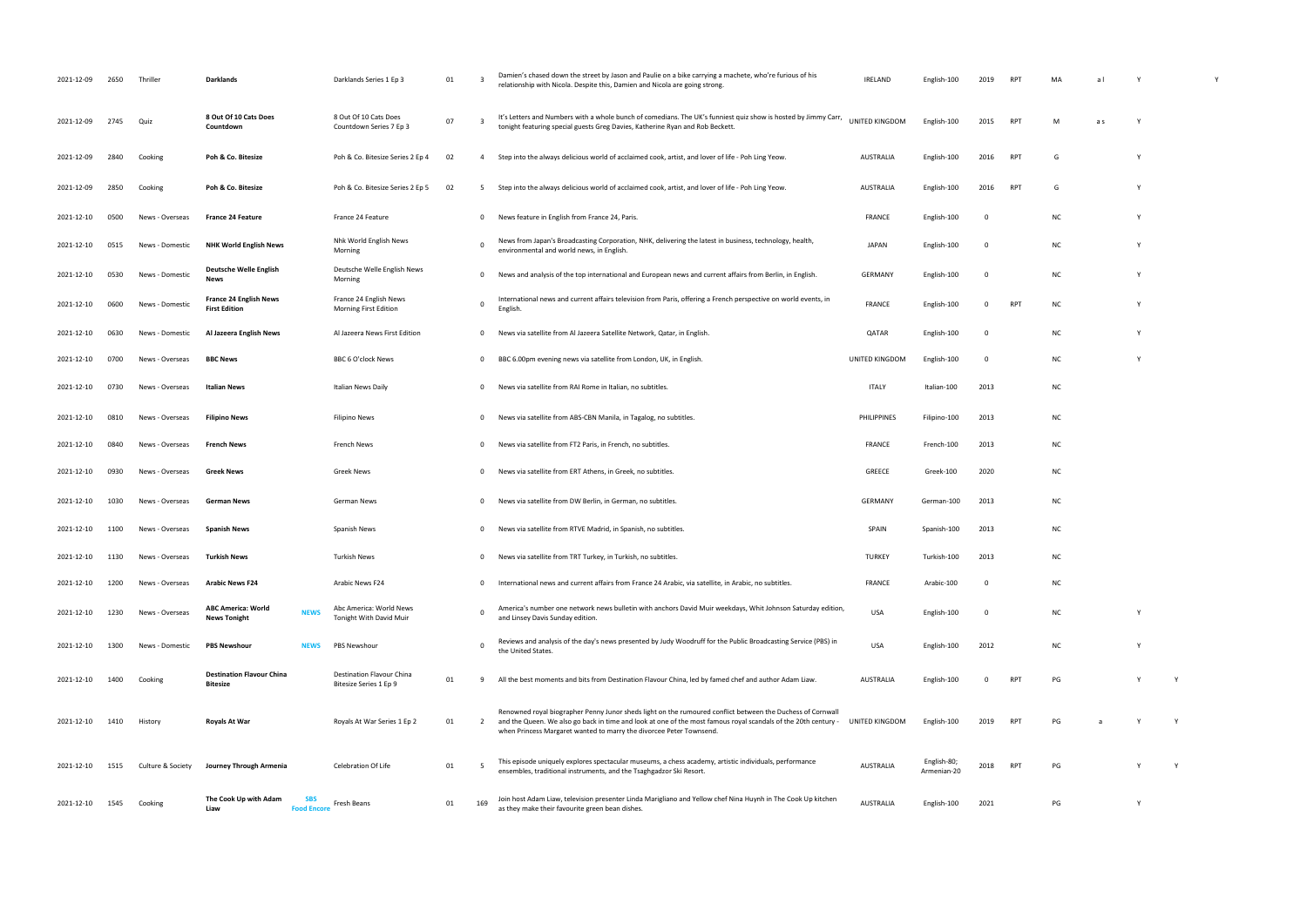| 2021-12-09 | 2650 | Thriller          | Darklands                                                       | Darklands Series 1 Ep 3                             | 01 | - 3          | Damien's chased down the street by Jason and Paulie on a bike carrying a machete, who're furious of his<br>relationship with Nicola. Despite this, Damien and Nicola are going strong.                                                                                                              | <b>IRELAND</b>   | English-100                | 2019        | <b>RP</b>       |           | a l |   |   |
|------------|------|-------------------|-----------------------------------------------------------------|-----------------------------------------------------|----|--------------|-----------------------------------------------------------------------------------------------------------------------------------------------------------------------------------------------------------------------------------------------------------------------------------------------------|------------------|----------------------------|-------------|-----------------|-----------|-----|---|---|
| 2021-12-09 | 2745 | Quiz              | 8 Out Of 10 Cats Does<br>Countdown                              | 8 Out Of 10 Cats Does<br>Countdown Series 7 Ep 3    | 07 | - 3          | It's Letters and Numbers with a whole bunch of comedians. The UK's funniest quiz show is hosted by Jimmy Carr,<br>tonight featuring special guests Greg Davies, Katherine Ryan and Rob Beckett.                                                                                                     | UNITED KINGDOM   | English-100                | 2015        | RP <sub>1</sub> | M         | a s |   |   |
| 2021-12-09 | 2840 | Cooking           | Poh & Co. Bitesize                                              | Poh & Co. Bitesize Series 2 Ep 4                    | 02 | -4           | Step into the always delicious world of acclaimed cook, artist, and lover of life - Poh Ling Yeow.                                                                                                                                                                                                  | AUSTRALIA        | English-100                | 2016        | <b>RPT</b>      | G         |     |   |   |
| 2021-12-09 | 2850 | Cooking           | Poh & Co. Bitesize                                              | Poh & Co. Bitesize Series 2 Ep 5                    | 02 | 5            | Step into the always delicious world of acclaimed cook, artist, and lover of life - Poh Ling Yeow.                                                                                                                                                                                                  | <b>AUSTRALIA</b> | English-100                | 2016        | RP1             | G         |     |   |   |
| 2021-12-10 | 0500 | News - Overseas   | <b>France 24 Feature</b>                                        | France 24 Feature                                   |    | 0            | News feature in English from France 24, Paris.                                                                                                                                                                                                                                                      | <b>FRANCE</b>    | English-100                | 0           |                 | <b>NC</b> |     |   |   |
| 2021-12-10 | 0515 | News - Domestic   | <b>NHK World English News</b>                                   | Nhk World English News<br>Morning                   |    | 0            | News from Japan's Broadcasting Corporation, NHK, delivering the latest in business, technology, health,<br>environmental and world news, in English.                                                                                                                                                | <b>JAPAN</b>     | English-100                | 0           |                 | <b>NC</b> |     |   |   |
| 2021-12-10 | 0530 | News - Domestic   | <b>Deutsche Welle English</b><br><b>News</b>                    | Deutsche Welle English News<br>Morning              |    | $\mathbf 0$  | News and analysis of the top international and European news and current affairs from Berlin, in English.                                                                                                                                                                                           | <b>GERMANY</b>   | English-100                | $\mathbf 0$ |                 | <b>NC</b> |     |   |   |
| 2021-12-10 | 0600 | News - Domestic   | <b>France 24 English News</b><br><b>First Edition</b>           | France 24 English News<br>Morning First Edition     |    | 0            | International news and current affairs television from Paris, offering a French perspective on world events, in<br>English.                                                                                                                                                                         | <b>FRANCE</b>    | English-100                | 0           | RP1             | <b>NC</b> |     |   |   |
| 2021-12-10 | 0630 | News - Domestic   | Al Jazeera English News                                         | Al Jazeera News First Edition                       |    | 0            | News via satellite from Al Jazeera Satellite Network, Qatar, in English.                                                                                                                                                                                                                            | QATAR            | English-100                | - 0         |                 | <b>NC</b> |     |   |   |
| 2021-12-10 | 0700 | News - Overseas   | <b>BBC News</b>                                                 | BBC 6 O'clock News                                  |    | $\mathbf 0$  | BBC 6.00pm evening news via satellite from London, UK, in English.                                                                                                                                                                                                                                  | UNITED KINGDOM   | English-100                | 0           |                 | <b>NC</b> |     |   |   |
| 2021-12-10 | 0730 | News - Overseas   | Italian News                                                    | Italian News Daily                                  |    | $\mathbf{0}$ | News via satellite from RAI Rome in Italian, no subtitles.                                                                                                                                                                                                                                          | <b>ITALY</b>     | Italian-100                | 2013        |                 | <b>NC</b> |     |   |   |
| 2021-12-10 | 0810 | News - Overseas   | <b>Filipino News</b>                                            | <b>Filipino News</b>                                |    | 0            | News via satellite from ABS-CBN Manila, in Tagalog, no subtitles.                                                                                                                                                                                                                                   | PHILIPPINES      | Filipino-100               | 2013        |                 | <b>NC</b> |     |   |   |
| 2021-12-10 | 0840 | News - Overseas   | French News                                                     | French News                                         |    | $^{\circ}$   | News via satellite from FT2 Paris, in French, no subtitles.                                                                                                                                                                                                                                         | <b>FRANCE</b>    | French-100                 | 2013        |                 | <b>NC</b> |     |   |   |
| 2021-12-10 | 0930 | News - Overseas   | <b>Greek News</b>                                               | Greek News                                          |    | $\mathbf 0$  | News via satellite from ERT Athens, in Greek, no subtitles.                                                                                                                                                                                                                                         | GREECE           | Greek-100                  | 2020        |                 | <b>NC</b> |     |   |   |
| 2021-12-10 | 1030 | News - Overseas   | <b>German News</b>                                              | German News                                         |    | 0            | News via satellite from DW Berlin, in German, no subtitles.                                                                                                                                                                                                                                         | <b>GERMANY</b>   | German-100                 | 2013        |                 | <b>NC</b> |     |   |   |
| 2021-12-10 | 1100 | News - Overseas   | <b>Spanish News</b>                                             | Spanish News                                        |    | $\mathbf{0}$ | News via satellite from RTVE Madrid, in Spanish, no subtitles.                                                                                                                                                                                                                                      | SPAIN            | Spanish-100                | 2013        |                 | <b>NC</b> |     |   |   |
| 2021-12-10 | 1130 | News - Overseas   | Turkish News                                                    | <b>Turkish News</b>                                 |    | $\mathbf 0$  | News via satellite from TRT Turkey, in Turkish, no subtitles.                                                                                                                                                                                                                                       | <b>TURKEY</b>    | Turkish-100                | 2013        |                 | <b>NC</b> |     |   |   |
| 2021-12-10 | 1200 | News - Overseas   | <b>Arabic News F24</b>                                          | Arabic News F24                                     |    | $\mathbf{0}$ | International news and current affairs from France 24 Arabic, via satellite, in Arabic, no subtitles.                                                                                                                                                                                               | <b>FRANCE</b>    | Arabic-100                 | $\Omega$    |                 | <b>NC</b> |     |   |   |
| 2021-12-10 | 1230 | News - Overseas   | <b>ABC America: World</b><br><b>NEWS</b><br><b>News Tonight</b> | Abc America: World News<br>Tonight With David Muir  |    | $\Omega$     | America's number one network news bulletin with anchors David Muir weekdays, Whit Johnson Saturday edition,<br>and Linsey Davis Sunday edition.                                                                                                                                                     | USA              | English-100                | 0           |                 | <b>NC</b> |     |   |   |
| 2021-12-10 | 1300 | News - Domestic   | <b>PBS Newshour</b><br><b>NEWS</b>                              | PBS Newshour                                        |    | $\mathbf 0$  | Reviews and analysis of the day's news presented by Judy Woodruff for the Public Broadcasting Service (PBS) in<br>the United States.                                                                                                                                                                | USA              | English-100                | 2012        |                 | <b>NC</b> |     |   |   |
| 2021-12-10 | 1400 | Cooking           | <b>Destination Flavour China</b><br>Bitesize                    | Destination Flavour China<br>Bitesize Series 1 Ep 9 | 01 | 9            | All the best moments and bits from Destination Flavour China, led by famed chef and author Adam Liaw.                                                                                                                                                                                               | <b>AUSTRALIA</b> | English-100                | $\Omega$    | <b>RPT</b>      | PG        |     |   |   |
| 2021-12-10 | 1410 | History           | Royals At War                                                   | Royals At War Series 1 Ep 2                         | 01 | 2            | Renowned royal biographer Penny Junor sheds light on the rumoured conflict between the Duchess of Cornwall<br>and the Queen. We also go back in time and look at one of the most famous royal scandals of the 20th century -<br>when Princess Margaret wanted to marry the divorcee Peter Townsend. | UNITED KINGDOM   | English-100                | 2019        | RP <sub>1</sub> | PG        |     |   |   |
| 2021-12-10 | 1515 | Culture & Society | Journey Through Armenia                                         | Celebration Of Life                                 | 01 | - 5          | This episode uniquely explores spectacular museums, a chess academy, artistic individuals, performance<br>ensembles, traditional instruments, and the Tsaghgadzor Ski Resort.                                                                                                                       | <b>AUSTRALIA</b> | English-80;<br>Armenian-20 | 2018        | <b>RPT</b>      | PG        |     |   | Y |
| 2021-12-10 | 1545 | Cooking           | The Cook Up with Adam<br><b>Food Encore</b><br>Liaw             | Fresh Beans                                         | 01 | 169          | Join host Adam Liaw, television presenter Linda Marigliano and Yellow chef Nina Huynh in The Cook Up kitchen<br>as they make their favourite green bean dishes.                                                                                                                                     | <b>AUSTRALIA</b> | English-100                | 2021        |                 | PG        |     | Y |   |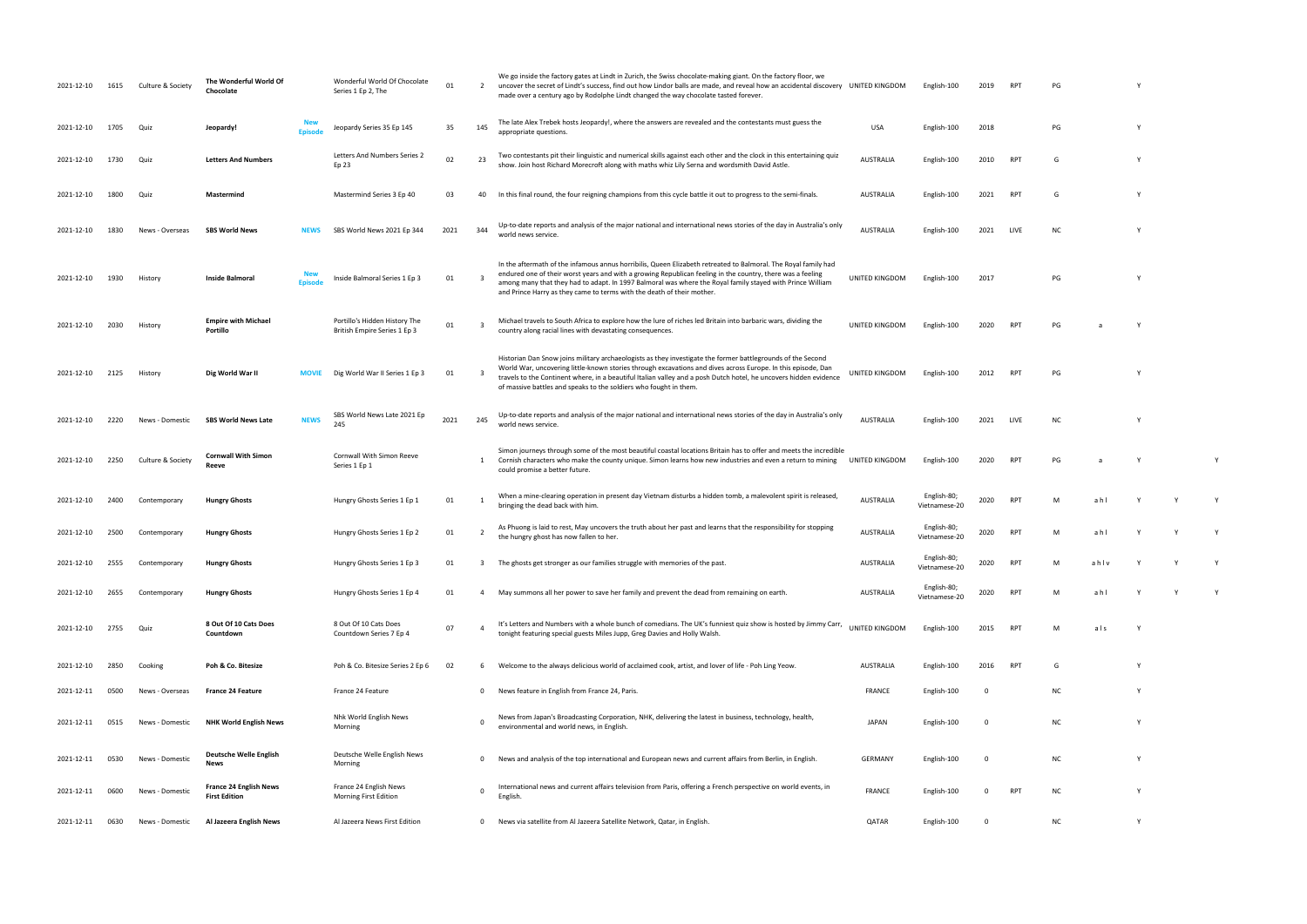| 2021-12-10 | 1615 | Culture & Society | The Wonderful World Of<br>Chocolate                   |               | Wonderful World Of Chocolate<br>Series 1 Ep 2, The            | 01   | $\overline{2}$          | We go inside the factory gates at Lindt in Zurich, the Swiss chocolate-making giant. On the factory floor, we<br>uncover the secret of Lindt's success, find out how Lindor balls are made, and reveal how an accidental discovery UNITED KINGDOM<br>made over a century ago by Rodolphe Lindt changed the way chocolate tasted forever.                                                                              |                  | English-100                  | 2019                    | RP <sub>1</sub> | PG        |      |   |   |   |
|------------|------|-------------------|-------------------------------------------------------|---------------|---------------------------------------------------------------|------|-------------------------|-----------------------------------------------------------------------------------------------------------------------------------------------------------------------------------------------------------------------------------------------------------------------------------------------------------------------------------------------------------------------------------------------------------------------|------------------|------------------------------|-------------------------|-----------------|-----------|------|---|---|---|
| 2021-12-10 | 1705 | Quiz              | Jeopardy!                                             |               | Jeopardy Series 35 Ep 145                                     | 35   | 145                     | The late Alex Trebek hosts Jeopardy!, where the answers are revealed and the contestants must guess the<br>appropriate questions.                                                                                                                                                                                                                                                                                     | <b>USA</b>       | English-100                  | 2018                    |                 | PG        |      |   |   |   |
| 2021-12-10 | 1730 | Quiz              | <b>Letters And Numbers</b>                            |               | Letters And Numbers Series 2<br>Ep 23                         | 02   | 23                      | Two contestants pit their linguistic and numerical skills against each other and the clock in this entertaining quiz<br>show. Join host Richard Morecroft along with maths whiz Lily Serna and wordsmith David Astle.                                                                                                                                                                                                 | <b>AUSTRALIA</b> | English-100                  | 2010                    | RP <sub>1</sub> | G         |      |   |   |   |
| 2021-12-10 | 1800 | Quiz              | Mastermind                                            |               | Mastermind Series 3 Ep 40                                     | 03   | 40                      | In this final round, the four reigning champions from this cycle battle it out to progress to the semi-finals.                                                                                                                                                                                                                                                                                                        | <b>AUSTRALIA</b> | English-100                  | 2021                    | RP <sub>1</sub> | G         |      |   |   |   |
| 2021-12-10 | 1830 | News - Overseas   | <b>SBS World News</b>                                 | <b>NEWS</b>   | SBS World News 2021 Ep 344                                    | 2021 | 344                     | Up-to-date reports and analysis of the major national and international news stories of the day in Australia's only<br>world news service.                                                                                                                                                                                                                                                                            | <b>AUSTRALIA</b> | English-100                  | 2021                    | LIVE            | <b>NC</b> |      |   |   |   |
| 2021-12-10 | 1930 | History           | <b>Inside Balmoral</b>                                | <b>Fnisod</b> | Inside Balmoral Series 1 Ep 3                                 | 01   |                         | In the aftermath of the infamous annus horribilis, Queen Elizabeth retreated to Balmoral. The Royal family had<br>endured one of their worst years and with a growing Republican feeling in the country, there was a feeling<br>among many that they had to adapt. In 1997 Balmoral was where the Royal family stayed with Prince William<br>and Prince Harry as they came to terms with the death of their mother.   | UNITED KINGDOM   | English-100                  | 2017                    |                 | PG        |      |   |   |   |
| 2021-12-10 | 2030 | History           | <b>Empire with Michael</b><br>Portillo                |               | Portillo's Hidden History The<br>British Empire Series 1 Ep 3 | 01   | - 3                     | Michael travels to South Africa to explore how the lure of riches led Britain into barbaric wars, dividing the<br>country along racial lines with devastating consequences.                                                                                                                                                                                                                                           | UNITED KINGDOM   | English-100                  | 2020                    | <b>RP</b>       | PG        |      |   |   |   |
| 2021-12-10 | 2125 | History           | Dig World War II                                      | <b>MOVIE</b>  | Dig World War II Series 1 Ep 3                                | 01   | $\overline{\mathbf{3}}$ | Historian Dan Snow joins military archaeologists as they investigate the former battlegrounds of the Second<br>World War, uncovering little-known stories through excavations and dives across Europe. In this episode, Dan<br>travels to the Continent where, in a beautiful Italian valley and a posh Dutch hotel, he uncovers hidden evidence<br>of massive battles and speaks to the soldiers who fought in them. | UNITED KINGDOM   | English-100                  | 2012                    | <b>RPT</b>      | PG        |      |   |   |   |
| 2021-12-10 | 2220 | News - Domestic   | <b>SBS World News Late</b>                            | <b>NEWS</b>   | SBS World News Late 2021 Ep<br>245                            | 2021 | 245                     | Up-to-date reports and analysis of the major national and international news stories of the day in Australia's only<br>world news service.                                                                                                                                                                                                                                                                            | <b>AUSTRALIA</b> | English-100                  | 2021                    | LIVE            | <b>NC</b> |      |   |   |   |
| 2021-12-10 | 2250 | Culture & Society | <b>Cornwall With Simon</b><br>Reeve                   |               | Cornwall With Simon Reeve<br>Series 1 Ep 1                    |      | 1                       | Simon journeys through some of the most beautiful coastal locations Britain has to offer and meets the incredible<br>Cornish characters who make the county unique. Simon learns how new industries and even a return to mining<br>could promise a better future.                                                                                                                                                     | UNITED KINGDOM   | English-100                  | 2020                    | RP.             | PG        |      |   |   |   |
| 2021-12-10 | 2400 | Contemporary      | <b>Hungry Ghosts</b>                                  |               | Hungry Ghosts Series 1 Ep 1                                   | 01   |                         | When a mine-clearing operation in present day Vietnam disturbs a hidden tomb, a malevolent spirit is released,<br>bringing the dead back with him.                                                                                                                                                                                                                                                                    | <b>AUSTRALIA</b> | English-80;<br>Vietnamese-20 | 2020                    | RP <sup>-</sup> |           | ahl  |   |   |   |
| 2021-12-10 | 2500 | Contemporary      | <b>Hungry Ghosts</b>                                  |               | Hungry Ghosts Series 1 Ep 2                                   | 01   |                         | As Phuong is laid to rest, May uncovers the truth about her past and learns that the responsibility for stopping<br>the hungry ghost has now fallen to her.                                                                                                                                                                                                                                                           | <b>AUSTRALIA</b> | English-80;<br>Vietnamese-20 | 2020                    | <b>RPT</b>      |           | ahl  |   |   |   |
| 2021-12-10 | 2555 | Contemporary      | <b>Hungry Ghosts</b>                                  |               | Hungry Ghosts Series 1 Ep 3                                   | 01   | 3                       | The ghosts get stronger as our families struggle with memories of the past.                                                                                                                                                                                                                                                                                                                                           | <b>AUSTRALIA</b> | English-80;<br>Vietnamese-20 | 2020                    | <b>RPT</b>      | M         | ahlv | Y | Y |   |
| 2021-12-10 | 2655 | Contemporary      | <b>Hungry Ghosts</b>                                  |               | Hungry Ghosts Series 1 Ep 4                                   | 01   | 4                       | May summons all her power to save her family and prevent the dead from remaining on earth.                                                                                                                                                                                                                                                                                                                            | <b>AUSTRALIA</b> | English-80;<br>Vietnamese-20 | 2020                    | <b>RPT</b>      | M         | ahl  | Y | Y | Y |
| 2021-12-10 | 2755 | Quiz              | 8 Out Of 10 Cats Does<br>Countdown                    |               | 8 Out Of 10 Cats Does<br>Countdown Series 7 Ep 4              | 07   |                         | It's Letters and Numbers with a whole bunch of comedians. The UK's funniest quiz show is hosted by Jimmy Carr,<br>tonight featuring special guests Miles Jupp, Greg Davies and Holly Walsh.                                                                                                                                                                                                                           | UNITED KINGDOM   | English-100                  | 2015                    | <b>RPT</b>      | M         | als  |   |   |   |
| 2021-12-10 | 2850 | Cooking           | Poh & Co. Bitesize                                    |               | Poh & Co. Bitesize Series 2 Ep 6                              | 02   | 6                       | Welcome to the always delicious world of acclaimed cook, artist, and lover of life - Poh Ling Yeow.                                                                                                                                                                                                                                                                                                                   | <b>AUSTRALIA</b> | English-100                  | 2016                    | <b>RPT</b>      | G         |      |   |   |   |
| 2021-12-11 | 0500 | News - Overseas   | <b>France 24 Feature</b>                              |               | France 24 Feature                                             |      |                         | 0 News feature in English from France 24, Paris.                                                                                                                                                                                                                                                                                                                                                                      | FRANCE           | English-100                  | $\overline{\mathbf{0}}$ |                 | <b>NC</b> |      |   |   |   |
| 2021-12-11 | 0515 | News - Domestic   | <b>NHK World English News</b>                         |               | Nhk World English News<br>Morning                             |      |                         | News from Japan's Broadcasting Corporation, NHK, delivering the latest in business, technology, health,<br>environmental and world news, in English.                                                                                                                                                                                                                                                                  | <b>JAPAN</b>     | English-100                  | $\Omega$                |                 | <b>NC</b> |      |   |   |   |
| 2021-12-11 | 0530 | News - Domestic   | <b>Deutsche Welle English</b><br>News                 |               | Deutsche Welle English News<br>Morning                        |      | $\mathbf{0}$            | News and analysis of the top international and European news and current affairs from Berlin, in English.                                                                                                                                                                                                                                                                                                             | GERMANY          | English-100                  | $\Omega$                |                 | <b>NC</b> |      | Y |   |   |
| 2021-12-11 | 0600 | News - Domestic   | <b>France 24 English News</b><br><b>First Edition</b> |               | France 24 English News<br>Morning First Edition               |      | $\mathbf 0$             | International news and current affairs television from Paris, offering a French perspective on world events, in<br>English.                                                                                                                                                                                                                                                                                           | <b>FRANCE</b>    | English-100                  | $\Omega$                | <b>RPT</b>      | <b>NC</b> |      | Y |   |   |
| 2021-12-11 | 0630 | News - Domestic   | Al Jazeera English News                               |               | Al Jazeera News First Edition                                 |      |                         | 0 News via satellite from Al Jazeera Satellite Network, Qatar, in English.                                                                                                                                                                                                                                                                                                                                            | QATAR            | English-100                  | $\overline{\mathbf{0}}$ |                 | <b>NC</b> |      | Y |   |   |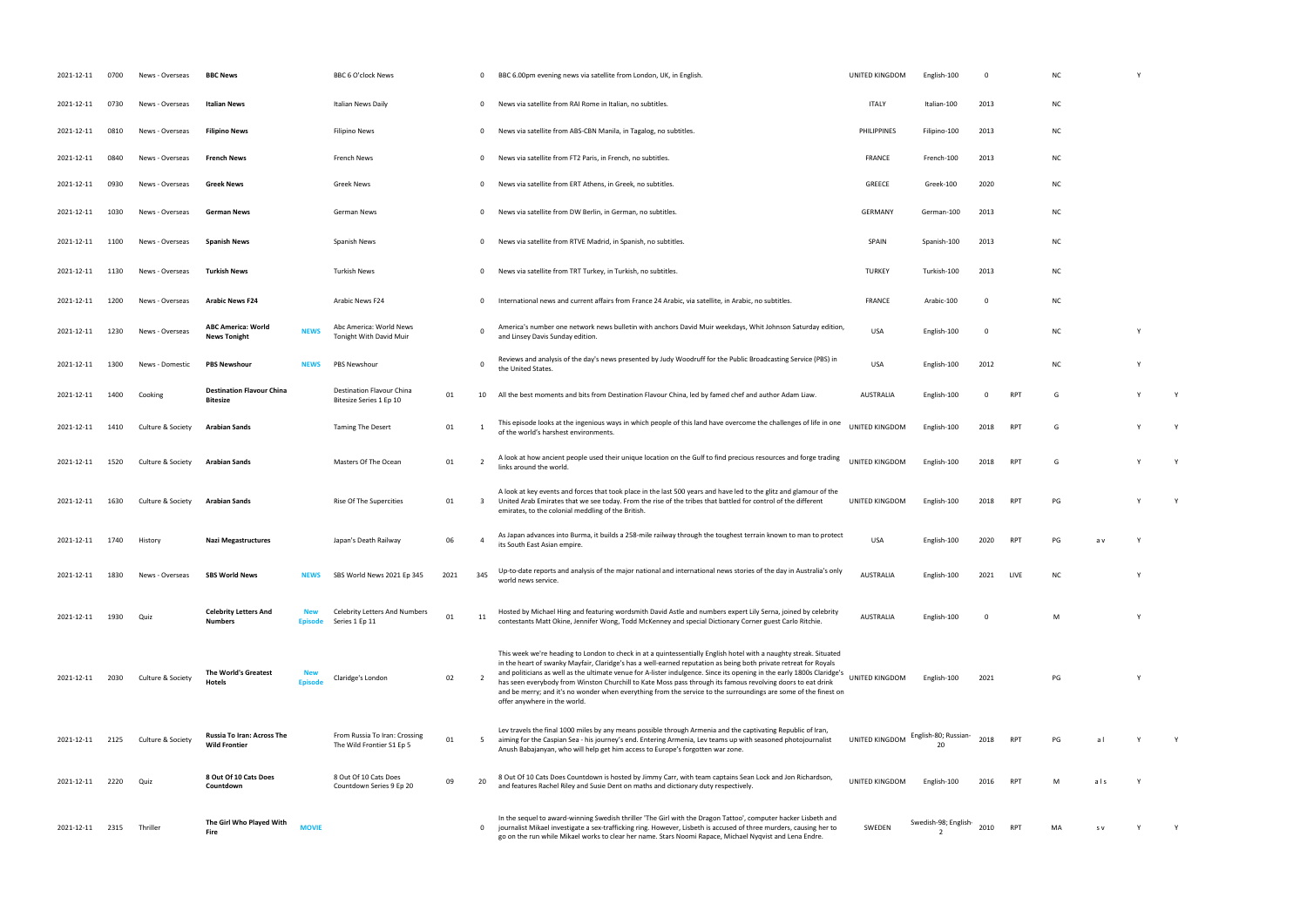| 2021-12-11 | 0700 | News - Overseas   | <b>BBC News</b>                                     |              | BBC 6 O'clock News                                         |      | $\mathbf 0$             | BBC 6.00pm evening news via satellite from London, UK, in English.                                                                                                                                                                                                                                                                                                                                                                                                                                                                                                                                                                | UNITED KINGDOM     | English-100          | $\Omega$ |            | NC        |     |    |   |
|------------|------|-------------------|-----------------------------------------------------|--------------|------------------------------------------------------------|------|-------------------------|-----------------------------------------------------------------------------------------------------------------------------------------------------------------------------------------------------------------------------------------------------------------------------------------------------------------------------------------------------------------------------------------------------------------------------------------------------------------------------------------------------------------------------------------------------------------------------------------------------------------------------------|--------------------|----------------------|----------|------------|-----------|-----|----|---|
| 2021-12-11 | 0730 | News - Overseas   | Italian News                                        |              | Italian News Daily                                         |      | $\mathbf 0$             | News via satellite from RAI Rome in Italian, no subtitles.                                                                                                                                                                                                                                                                                                                                                                                                                                                                                                                                                                        | <b>ITALY</b>       | Italian-100          | 2013     |            | NC.       |     |    |   |
| 2021-12-11 | 0810 | News - Overseas   | <b>Filipino News</b>                                |              | Filipino News                                              |      | $\overline{0}$          | News via satellite from ABS-CBN Manila, in Tagalog, no subtitles.                                                                                                                                                                                                                                                                                                                                                                                                                                                                                                                                                                 | <b>PHILIPPINES</b> | Filipino-100         | 2013     |            | ΝC        |     |    |   |
| 2021-12-11 | 0840 | News - Overseas   | French News                                         |              | French News                                                |      | $\overline{0}$          | News via satellite from FT2 Paris, in French, no subtitles.                                                                                                                                                                                                                                                                                                                                                                                                                                                                                                                                                                       | <b>FRANCE</b>      | French-100           | 2013     |            | <b>NC</b> |     |    |   |
| 2021-12-11 | 0930 | News - Overseas   | <b>Greek News</b>                                   |              | Greek News                                                 |      | $\mathbf 0$             | News via satellite from ERT Athens, in Greek, no subtitles.                                                                                                                                                                                                                                                                                                                                                                                                                                                                                                                                                                       | GREECE             | Greek-100            | 2020     |            | ΝC        |     |    |   |
| 2021-12-11 | 1030 | News - Overseas   | <b>German News</b>                                  |              | German News                                                |      | 0                       | News via satellite from DW Berlin, in German, no subtitles.                                                                                                                                                                                                                                                                                                                                                                                                                                                                                                                                                                       | <b>GERMANY</b>     | German-100           | 2013     |            | <b>NC</b> |     |    |   |
| 2021-12-11 | 1100 | News - Overseas   | <b>Spanish News</b>                                 |              | Spanish News                                               |      | $\mathbf 0$             | News via satellite from RTVE Madrid, in Spanish, no subtitles.                                                                                                                                                                                                                                                                                                                                                                                                                                                                                                                                                                    | SPAIN              | Spanish-100          | 2013     |            | <b>NC</b> |     |    |   |
| 2021-12-11 | 1130 | News - Overseas   | Turkish News                                        |              | Turkish News                                               |      | $\mathbf 0$             | News via satellite from TRT Turkey, in Turkish, no subtitles.                                                                                                                                                                                                                                                                                                                                                                                                                                                                                                                                                                     | <b>TURKEY</b>      | Turkish-100          | 2013     |            | NC.       |     |    |   |
| 2021-12-11 | 1200 | News - Overseas   | <b>Arabic News F24</b>                              |              | Arabic News F24                                            |      | $\mathbf 0$             | International news and current affairs from France 24 Arabic, via satellite, in Arabic, no subtitles.                                                                                                                                                                                                                                                                                                                                                                                                                                                                                                                             | <b>FRANCE</b>      | Arabic-100           | - 0      |            | NC.       |     |    |   |
| 2021-12-11 | 1230 | News - Overseas   | <b>ABC America: World</b><br><b>News Tonight</b>    | <b>NEWS</b>  | Abc America: World News<br>Tonight With David Muir         |      | $\mathbf 0$             | America's number one network news bulletin with anchors David Muir weekdays, Whit Johnson Saturday edition,<br>and Linsey Davis Sunday edition                                                                                                                                                                                                                                                                                                                                                                                                                                                                                    | USA                | English-100          | - 0      |            | <b>NC</b> |     | ٠, |   |
| 2021-12-11 | 1300 | News - Domestic   | <b>PBS Newshour</b>                                 | <b>NEWS</b>  | PBS Newshour                                               |      | $\Omega$                | Reviews and analysis of the day's news presented by Judy Woodruff for the Public Broadcasting Service (PBS) in<br>the United States.                                                                                                                                                                                                                                                                                                                                                                                                                                                                                              | <b>USA</b>         | English-100          | 2012     |            | <b>NC</b> |     |    |   |
| 2021-12-11 | 1400 | Cooking           | <b>Destination Flavour China</b><br><b>Bitesize</b> |              | Destination Flavour China<br>Bitesize Series 1 Ep 10       | 01   | 10                      | All the best moments and bits from Destination Flavour China, led by famed chef and author Adam Liaw.                                                                                                                                                                                                                                                                                                                                                                                                                                                                                                                             | <b>AUSTRALIA</b>   | English-100          | 0        | <b>RPT</b> | G         |     |    | Y |
| 2021-12-11 | 1410 | Culture & Society | Arabian Sands                                       |              | <b>Taming The Desert</b>                                   | 01   | -1                      | This episode looks at the ingenious ways in which people of this land have overcome the challenges of life in one<br>of the world's harshest environments.                                                                                                                                                                                                                                                                                                                                                                                                                                                                        | UNITED KINGDOM     | English-100          | 2018     | <b>RPT</b> | G         |     | Y  | Y |
| 2021-12-11 | 1520 | Culture & Society | Arabian Sands                                       |              | Masters Of The Ocean                                       | 01   | $\overline{2}$          | A look at how ancient people used their unique location on the Gulf to find precious resources and forge trading<br>links around the world.                                                                                                                                                                                                                                                                                                                                                                                                                                                                                       | UNITED KINGDOM     | English-100          | 2018     | <b>RPT</b> | G         |     |    | Y |
| 2021-12-11 | 1630 | Culture & Society | Arabian Sands                                       |              | Rise Of The Supercities                                    | 01   | $\overline{\mathbf{3}}$ | A look at key events and forces that took place in the last 500 years and have led to the glitz and glamour of the<br>United Arab Emirates that we see today. From the rise of the tribes that battled for control of the different<br>emirates, to the colonial meddling of the British.                                                                                                                                                                                                                                                                                                                                         | UNITED KINGDOM     | English-100          | 2018     | <b>RPT</b> | PG        |     |    | Y |
| 2021-12-11 | 1740 | History           | <b>Nazi Megastructures</b>                          |              | Japan's Death Railway                                      | 06   | -4                      | As Japan advances into Burma, it builds a 258-mile railway through the toughest terrain known to man to protect<br>its South East Asian empire.                                                                                                                                                                                                                                                                                                                                                                                                                                                                                   | USA                | English-100          | 2020     | <b>RPT</b> | PG        | a v |    |   |
| 2021-12-11 | 1830 | News - Overseas   | <b>SBS World News</b>                               |              | SBS World News 2021 Ep 345                                 | 2021 | 345                     | Up-to-date reports and analysis of the major national and international news stories of the day in Australia's only<br>world news service.                                                                                                                                                                                                                                                                                                                                                                                                                                                                                        | <b>AUSTRALIA</b>   | English-100          | 2021     | LIVE       | NC.       |     |    |   |
| 2021-12-11 | 1930 | Quiz              | <b>Celebrity Letters And</b><br><b>Numbers</b>      | Enisod       | <b>Celebrity Letters And Numbers</b><br>Series 1 Ep 11     | 01   | 11                      | Hosted by Michael Hing and featuring wordsmith David Astle and numbers expert Lily Serna, joined by celebrity<br>contestants Matt Okine, Jennifer Wong, Todd McKenney and special Dictionary Corner guest Carlo Ritchie.                                                                                                                                                                                                                                                                                                                                                                                                          | <b>AUSTRALIA</b>   | English-100          | $\Omega$ |            | M         |     |    |   |
| 2021-12-11 | 2030 | Culture & Society | The World's Greatest<br>Hotels                      | Episode      | Claridge's London                                          | 02   | 2                       | This week we're heading to London to check in at a quintessentially English hotel with a naughty streak. Situated<br>in the heart of swanky Mayfair, Claridge's has a well-earned reputation as being both private retreat for Royals<br>and politicians as well as the ultimate venue for A-lister indulgence. Since its opening in the early 1800s Claridge's<br>has seen everybody from Winston Churchill to Kate Moss pass through its famous revolving doors to eat drink<br>and be merry; and it's no wonder when everything from the service to the surroundings are some of the finest on<br>offer anywhere in the world. | UNITED KINGDOM     | English-100          | 2021     |            | PG        |     |    |   |
| 2021-12-11 | 2125 | Culture & Society | Russia To Iran: Across The<br><b>Wild Frontier</b>  |              | From Russia To Iran: Crossing<br>The Wild Frontier S1 Ep 5 | 01   | 5                       | Lev travels the final 1000 miles by any means possible through Armenia and the captivating Republic of Iran,<br>aiming for the Caspian Sea - his journey's end. Entering Armenia, Lev teams up with seasoned photojournalist<br>Anush Babajanyan, who will help get him access to Europe's forgotten war zone.                                                                                                                                                                                                                                                                                                                    | UNITED KINGDOM     | English-80; Russian  | 2018     | <b>RPT</b> | PG        | al  |    |   |
| 2021-12-11 | 2220 | Quiz              | 8 Out Of 10 Cats Does<br>Countdown                  |              | 8 Out Of 10 Cats Does<br>Countdown Series 9 Ep 20          | 09   | 20                      | 8 Out Of 10 Cats Does Countdown is hosted by Jimmy Carr, with team captains Sean Lock and Jon Richardson,<br>and features Rachel Riley and Susie Dent on maths and dictionary duty respectively.                                                                                                                                                                                                                                                                                                                                                                                                                                  | UNITED KINGDOM     | English-100          | 2016     | <b>RPT</b> |           | als |    |   |
| 2021-12-11 | 2315 | Thriller          | The Girl Who Played With<br>Fire                    | <b>MOVIE</b> |                                                            |      | $\mathbf{0}$            | In the sequel to award-winning Swedish thriller 'The Girl with the Dragon Tattoo', computer hacker Lisbeth and<br>journalist Mikael investigate a sex-trafficking ring. However, Lisbeth is accused of three murders, causing her to<br>go on the run while Mikael works to clear her name. Stars Noomi Rapace, Michael Nyqvist and Lena Endre.                                                                                                                                                                                                                                                                                   | SWEDEN             | Swedish-98; English- | 2010     | <b>RPT</b> | MA        | S V |    |   |